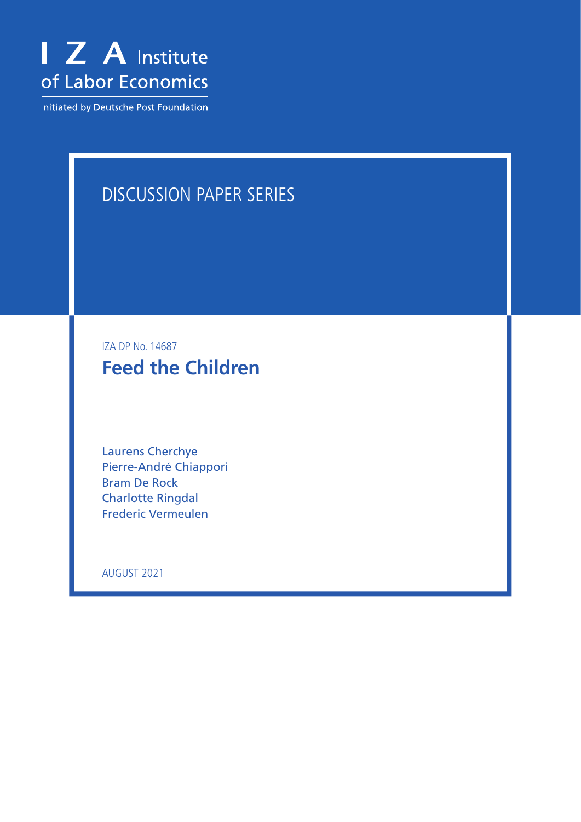

Initiated by Deutsche Post Foundation

# DISCUSSION PAPER SERIES

IZA DP No. 14687 **Feed the Children**

Laurens Cherchye Pierre-André Chiappori Bram De Rock Charlotte Ringdal Frederic Vermeulen

AUGUST 2021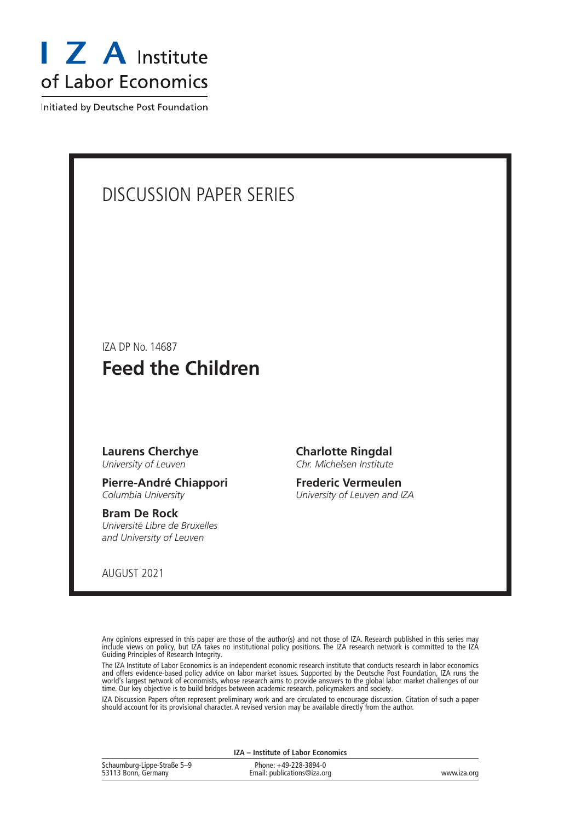

Initiated by Deutsche Post Foundation

# DISCUSSION PAPER SERIES

IZA DP No. 14687

# **Feed the Children**

#### **Laurens Cherchye** *University of Leuven*

**Pierre-André Chiappori** *Columbia University*

#### **Bram De Rock** *Université Libre de Bruxelles and University of Leuven*

AUGUST 2021

**Charlotte Ringdal** *Chr. Michelsen Institute*

**Frederic Vermeulen** *University of Leuven and IZA*

Any opinions expressed in this paper are those of the author(s) and not those of IZA. Research published in this series may include views on policy, but IZA takes no institutional policy positions. The IZA research network is committed to the IZA Guiding Principles of Research Integrity.

The IZA Institute of Labor Economics is an independent economic research institute that conducts research in labor economics and offers evidence-based policy advice on labor market issues. Supported by the Deutsche Post Foundation, IZA runs the world's largest network of economists, whose research aims to provide answers to the global labor market challenges of our time. Our key objective is to build bridges between academic research, policymakers and society.

IZA Discussion Papers often represent preliminary work and are circulated to encourage discussion. Citation of such a paper should account for its provisional character. A revised version may be available directly from the author.

| IZA - Institute of Labor Economics                 |                                                      |             |  |  |  |  |
|----------------------------------------------------|------------------------------------------------------|-------------|--|--|--|--|
| Schaumburg-Lippe-Straße 5–9<br>53113 Bonn, Germany | Phone: +49-228-3894-0<br>Email: publications@iza.org | www.iza.org |  |  |  |  |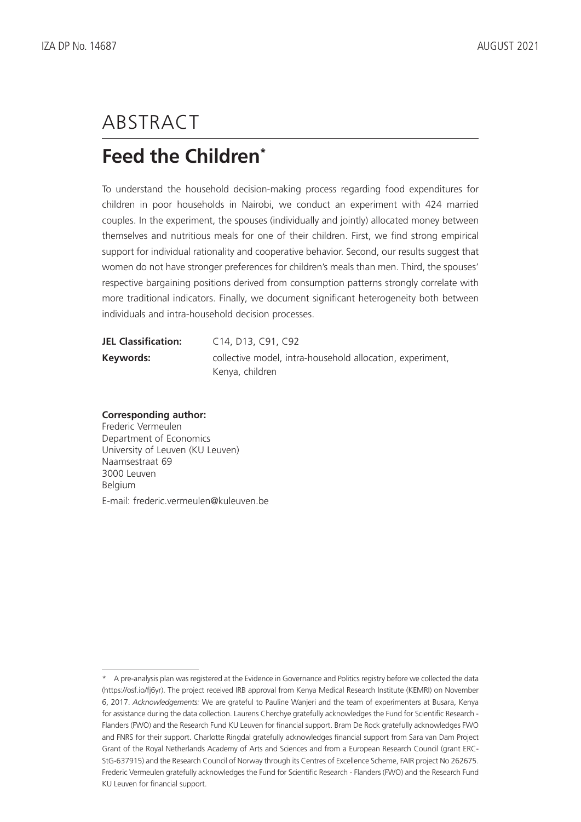# ABSTRACT

# **Feed the Children\***

To understand the household decision-making process regarding food expenditures for children in poor households in Nairobi, we conduct an experiment with 424 married couples. In the experiment, the spouses (individually and jointly) allocated money between themselves and nutritious meals for one of their children. First, we find strong empirical support for individual rationality and cooperative behavior. Second, our results suggest that women do not have stronger preferences for children's meals than men. Third, the spouses' respective bargaining positions derived from consumption patterns strongly correlate with more traditional indicators. Finally, we document significant heterogeneity both between individuals and intra-household decision processes.

| <b>JEL Classification:</b> | C14, D13, C91, C92                                        |
|----------------------------|-----------------------------------------------------------|
| Keywords:                  | collective model, intra-household allocation, experiment, |
|                            | Kenya, children                                           |

### **Corresponding author:**

Frederic Vermeulen Department of Economics University of Leuven (KU Leuven) Naamsestraat 69 3000 Leuven Belgium E-mail: frederic.vermeulen@kuleuven.be

<sup>\*</sup> A pre-analysis plan was registered at the Evidence in Governance and Politics registry before we collected the data (https://osf.io/fj6yr). The project received IRB approval from Kenya Medical Research Institute (KEMRI) on November 6, 2017. *Acknowledgements:* We are grateful to Pauline Wanjeri and the team of experimenters at Busara, Kenya for assistance during the data collection. Laurens Cherchye gratefully acknowledges the Fund for Scientific Research - Flanders (FWO) and the Research Fund KU Leuven for financial support. Bram De Rock gratefully acknowledges FWO and FNRS for their support. Charlotte Ringdal gratefully acknowledges financial support from Sara van Dam Project Grant of the Royal Netherlands Academy of Arts and Sciences and from a European Research Council (grant ERC-StG-637915) and the Research Council of Norway through its Centres of Excellence Scheme, FAIR project No 262675. Frederic Vermeulen gratefully acknowledges the Fund for Scientific Research - Flanders (FWO) and the Research Fund KU Leuven for financial support.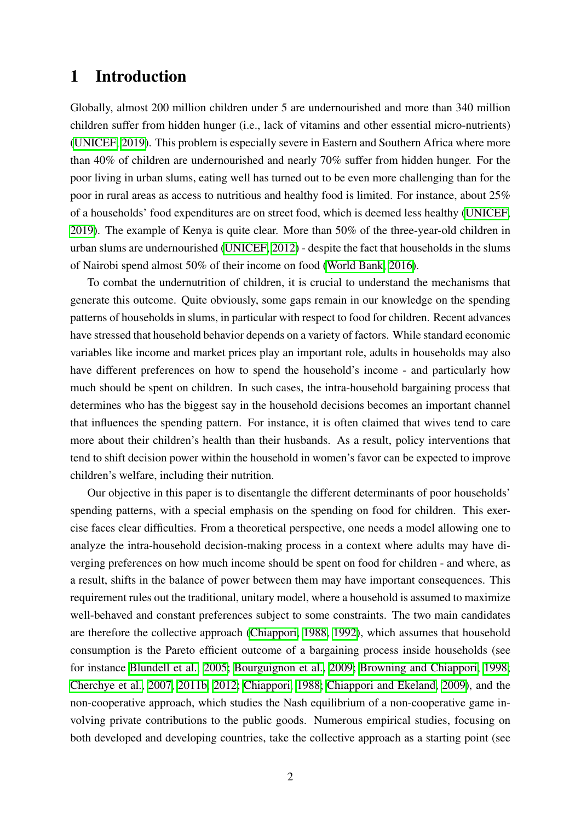# 1 Introduction

<span id="page-3-7"></span><span id="page-3-5"></span><span id="page-3-1"></span>Globally, almost 200 million children under 5 are undernourished and more than 340 million children suffer from hidden hunger (i.e., lack of vitamins and other essential micro-nutrients) [\(UNICEF, 2019\)](#page-42-0). This problem is especially severe in Eastern and Southern Africa where more than 40% of children are undernourished and nearly 70% suffer from hidden hunger. For the poor living in urban slums, eating well has turned out to be even more challenging than for the poor in rural areas as access to nutritious and healthy food is limited. For instance, about 25% of a households' food expenditures are on street food, which is deemed less healthy [\(UNICEF,](#page-42-0) [2019\)](#page-42-0). The example of Kenya is quite clear. More than 50% of the three-year-old children in urban slums are undernourished [\(UNICEF, 2012\)](#page-42-1) - despite the fact that households in the slums of Nairobi spend almost 50% of their income on food [\(World Bank, 2016\)](#page-42-2).

<span id="page-3-9"></span><span id="page-3-4"></span><span id="page-3-0"></span>To combat the undernutrition of children, it is crucial to understand the mechanisms that generate this outcome. Quite obviously, some gaps remain in our knowledge on the spending patterns of households in slums, in particular with respect to food for children. Recent advances have stressed that household behavior depends on a variety of factors. While standard economic variables like income and market prices play an important role, adults in households may also have different preferences on how to spend the household's income - and particularly how much should be spent on children. In such cases, the intra-household bargaining process that determines who has the biggest say in the household decisions becomes an important channel that influences the spending pattern. For instance, it is often claimed that wives tend to care more about their children's health than their husbands. As a result, policy interventions that tend to shift decision power within the household in women's favor can be expected to improve children's welfare, including their nutrition.

<span id="page-3-8"></span><span id="page-3-6"></span><span id="page-3-3"></span><span id="page-3-2"></span>Our objective in this paper is to disentangle the different determinants of poor households' spending patterns, with a special emphasis on the spending on food for children. This exercise faces clear difficulties. From a theoretical perspective, one needs a model allowing one to analyze the intra-household decision-making process in a context where adults may have diverging preferences on how much income should be spent on food for children - and where, as a result, shifts in the balance of power between them may have important consequences. This requirement rules out the traditional, unitary model, where a household is assumed to maximize well-behaved and constant preferences subject to some constraints. The two main candidates are therefore the collective approach [\(Chiappori, 1988,](#page-39-0) [1992\)](#page-40-0), which assumes that household consumption is the Pareto efficient outcome of a bargaining process inside households (see for instance **Blundell et al.**, 2005; [Bourguignon et al., 2009;](#page-38-1) [Browning and Chiappori, 1998;](#page-38-2) [Cherchye et al., 2007,](#page-39-1) [2011b,](#page-39-2) [2012;](#page-39-3) [Chiappori, 1988;](#page-39-0) [Chiappori and Ekeland, 2009\)](#page-40-1), and the non-cooperative approach, which studies the Nash equilibrium of a non-cooperative game involving private contributions to the public goods. Numerous empirical studies, focusing on both developed and developing countries, take the collective approach as a starting point (see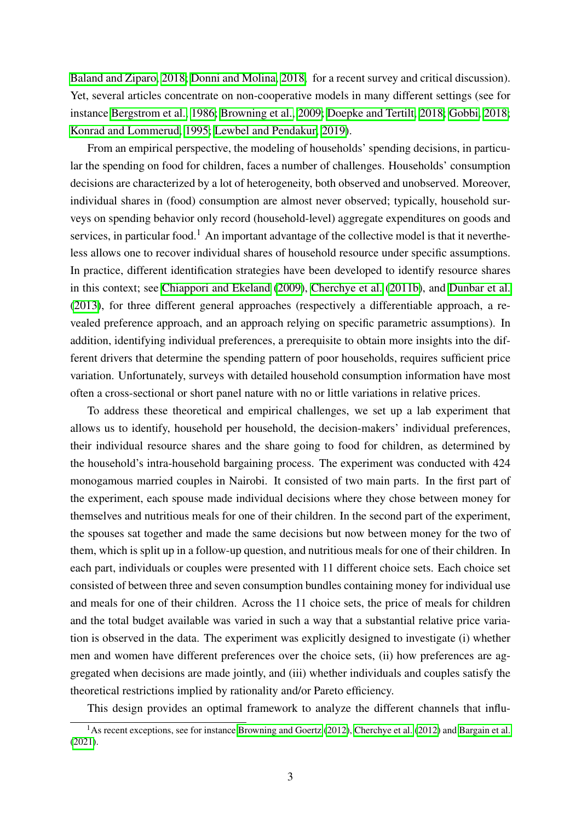[Baland and Ziparo, 2018;](#page-37-0) [Donni and Molina, 2018,](#page-40-2) for a recent survey and critical discussion). Yet, several articles concentrate on non-cooperative models in many different settings (see for instance [Bergstrom et al., 1986;](#page-38-3) [Browning et al., 2009;](#page-39-4) [Doepke and Tertilt, 2018;](#page-40-3) [Gobbi, 2018;](#page-40-4) [Konrad and Lommerud, 1995;](#page-41-0) [Lewbel and Pendakur, 2019\)](#page-41-1).

From an empirical perspective, the modeling of households' spending decisions, in particular the spending on food for children, faces a number of challenges. Households' consumption decisions are characterized by a lot of heterogeneity, both observed and unobserved. Moreover, individual shares in (food) consumption are almost never observed; typically, household surveys on spending behavior only record (household-level) aggregate expenditures on goods and services, in particular food.<sup>1</sup> An important advantage of the collective model is that it nevertheless allows one to recover individual shares of household resource under specific assumptions. In practice, different identification strategies have been developed to identify resource shares in this context; see [Chiappori and Ekeland](#page-40-1) [\(2009\)](#page-40-1), [Cherchye et al.](#page-39-2) [\(2011b\)](#page-39-2), and [Dunbar et al.](#page-40-5) [\(2013\)](#page-40-5), for three different general approaches (respectively a differentiable approach, a revealed preference approach, and an approach relying on specific parametric assumptions). In addition, identifying individual preferences, a prerequisite to obtain more insights into the different drivers that determine the spending pattern of poor households, requires sufficient price variation. Unfortunately, surveys with detailed household consumption information have most often a cross-sectional or short panel nature with no or little variations in relative prices.

To address these theoretical and empirical challenges, we set up a lab experiment that allows us to identify, household per household, the decision-makers' individual preferences, their individual resource shares and the share going to food for children, as determined by the household's intra-household bargaining process. The experiment was conducted with 424 monogamous married couples in Nairobi. It consisted of two main parts. In the first part of the experiment, each spouse made individual decisions where they chose between money for themselves and nutritious meals for one of their children. In the second part of the experiment, the spouses sat together and made the same decisions but now between money for the two of them, which is split up in a follow-up question, and nutritious meals for one of their children. In each part, individuals or couples were presented with 11 different choice sets. Each choice set consisted of between three and seven consumption bundles containing money for individual use and meals for one of their children. Across the 11 choice sets, the price of meals for children and the total budget available was varied in such a way that a substantial relative price variation is observed in the data. The experiment was explicitly designed to investigate (i) whether men and women have different preferences over the choice sets, (ii) how preferences are aggregated when decisions are made jointly, and (iii) whether individuals and couples satisfy the theoretical restrictions implied by rationality and/or Pareto efficiency.

This design provides an optimal framework to analyze the different channels that influ-

<sup>&</sup>lt;sup>1</sup>As recent exceptions, see for instance [Browning and Goertz](#page-39-5) [\(2012\)](#page-39-3), [Cherchye et al.](#page-39-3) (2012) and [Bargain et al.](#page-38-4) [\(2021\)](#page-38-4).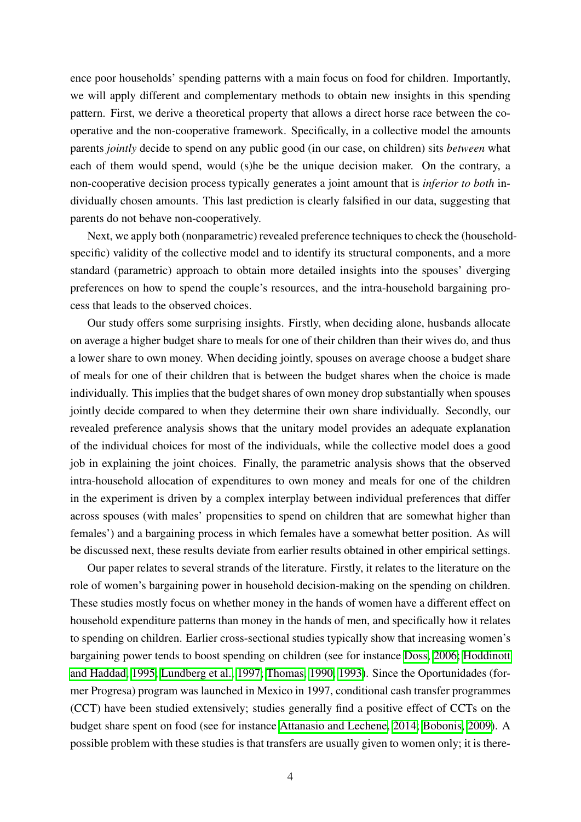ence poor households' spending patterns with a main focus on food for children. Importantly, we will apply different and complementary methods to obtain new insights in this spending pattern. First, we derive a theoretical property that allows a direct horse race between the cooperative and the non-cooperative framework. Specifically, in a collective model the amounts parents *jointly* decide to spend on any public good (in our case, on children) sits *between* what each of them would spend, would (s)he be the unique decision maker. On the contrary, a non-cooperative decision process typically generates a joint amount that is *inferior to both* individually chosen amounts. This last prediction is clearly falsified in our data, suggesting that parents do not behave non-cooperatively.

Next, we apply both (nonparametric) revealed preference techniques to check the (householdspecific) validity of the collective model and to identify its structural components, and a more standard (parametric) approach to obtain more detailed insights into the spouses' diverging preferences on how to spend the couple's resources, and the intra-household bargaining process that leads to the observed choices.

Our study offers some surprising insights. Firstly, when deciding alone, husbands allocate on average a higher budget share to meals for one of their children than their wives do, and thus a lower share to own money. When deciding jointly, spouses on average choose a budget share of meals for one of their children that is between the budget shares when the choice is made individually. This implies that the budget shares of own money drop substantially when spouses jointly decide compared to when they determine their own share individually. Secondly, our revealed preference analysis shows that the unitary model provides an adequate explanation of the individual choices for most of the individuals, while the collective model does a good job in explaining the joint choices. Finally, the parametric analysis shows that the observed intra-household allocation of expenditures to own money and meals for one of the children in the experiment is driven by a complex interplay between individual preferences that differ across spouses (with males' propensities to spend on children that are somewhat higher than females') and a bargaining process in which females have a somewhat better position. As will be discussed next, these results deviate from earlier results obtained in other empirical settings.

Our paper relates to several strands of the literature. Firstly, it relates to the literature on the role of women's bargaining power in household decision-making on the spending on children. These studies mostly focus on whether money in the hands of women have a different effect on household expenditure patterns than money in the hands of men, and specifically how it relates to spending on children. Earlier cross-sectional studies typically show that increasing women's bargaining power tends to boost spending on children (see for instance [Doss, 2006;](#page-40-6) [Hoddinott](#page-41-2) [and Haddad, 1995;](#page-41-2) [Lundberg et al., 1997;](#page-41-3) [Thomas, 1990,](#page-41-4) [1993\)](#page-41-5). Since the Oportunidades (former Progresa) program was launched in Mexico in 1997, conditional cash transfer programmes (CCT) have been studied extensively; studies generally find a positive effect of CCTs on the budget share spent on food (see for instance [Attanasio and Lechene, 2014;](#page-37-1) [Bobonis, 2009\)](#page-38-5). A possible problem with these studies is that transfers are usually given to women only; it is there-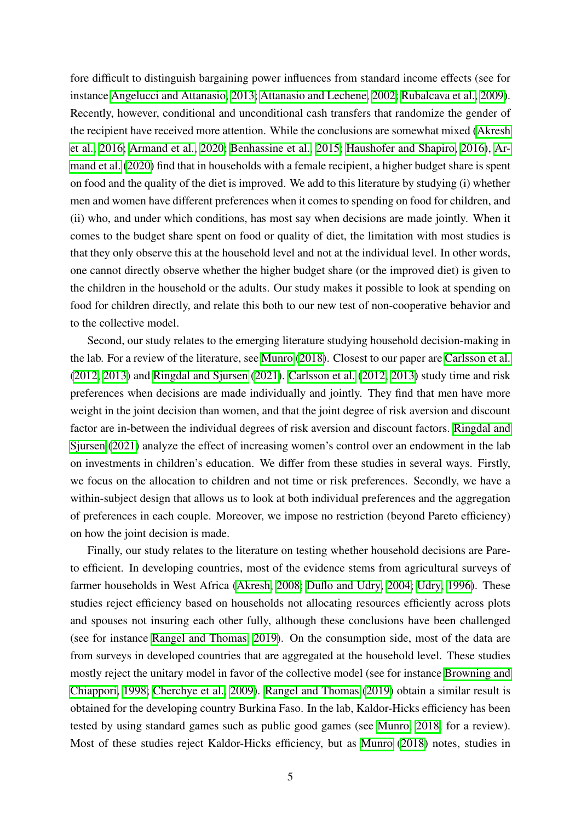fore difficult to distinguish bargaining power influences from standard income effects (see for instance [Angelucci and Attanasio, 2013;](#page-37-2) [Attanasio and Lechene, 2002;](#page-37-3) [Rubalcava et al., 2009\)](#page-41-6). Recently, however, conditional and unconditional cash transfers that randomize the gender of the recipient have received more attention. While the conclusions are somewhat mixed [\(Akresh](#page-37-4) [et al., 2016;](#page-37-4) [Armand et al., 2020;](#page-37-5) [Benhassine et al., 2015;](#page-38-6) [Haushofer and Shapiro, 2016\)](#page-40-7), [Ar](#page-37-5)[mand et al.](#page-37-5)  $(2020)$  find that in households with a female recipient, a higher budget share is spent on food and the quality of the diet is improved. We add to this literature by studying (i) whether men and women have different preferences when it comes to spending on food for children, and (ii) who, and under which conditions, has most say when decisions are made jointly. When it comes to the budget share spent on food or quality of diet, the limitation with most studies is that they only observe this at the household level and not at the individual level. In other words, one cannot directly observe whether the higher budget share (or the improved diet) is given to the children in the household or the adults. Our study makes it possible to look at spending on food for children directly, and relate this both to our new test of non-cooperative behavior and to the collective model.

Second, our study relates to the emerging literature studying household decision-making in the lab. For a review of the literature, see  $\boxed{\text{Munro}}$  [\(2018\)](#page-41-7). Closest to our paper are [Carlsson et al.](#page-39-6)  $(2012, 2013)$  $(2012, 2013)$  and [Ringdal and Sjursen](#page-41-8)  $(2021)$ . [Carlsson et al.](#page-39-6)  $(2012, 2013)$  study time and risk preferences when decisions are made individually and jointly. They find that men have more weight in the joint decision than women, and that the joint degree of risk aversion and discount factor are in-between the individual degrees of risk aversion and discount factors. [Ringdal and](#page-41-8) [Sjursen](#page-41-8) [\(2021\)](#page-41-8) analyze the effect of increasing women's control over an endowment in the lab on investments in children's education. We differ from these studies in several ways. Firstly, we focus on the allocation to children and not time or risk preferences. Secondly, we have a within-subject design that allows us to look at both individual preferences and the aggregation of preferences in each couple. Moreover, we impose no restriction (beyond Pareto efficiency) on how the joint decision is made.

Finally, our study relates to the literature on testing whether household decisions are Pareto efficient. In developing countries, most of the evidence stems from agricultural surveys of farmer households in West Africa [\(Akresh, 2008;](#page-37-6) [Duflo and Udry, 2004;](#page-40-8) [Udry, 1996\)](#page-42-3). These studies reject efficiency based on households not allocating resources efficiently across plots and spouses not insuring each other fully, although these conclusions have been challenged (see for instance [Rangel and Thomas, 2019\)](#page-41-9). On the consumption side, most of the data are from surveys in developed countries that are aggregated at the household level. These studies mostly reject the unitary model in favor of the collective model (see for instance **Browning and** [Chiappori, 1998;](#page-38-2) [Cherchye et al., 2009\)](#page-39-8). [Rangel and Thomas](#page-41-9) [\(2019\)](#page-41-9) obtain a similar result is obtained for the developing country Burkina Faso. In the lab, Kaldor-Hicks efficiency has been tested by using standard games such as public good games (see [Munro, 2018,](#page-41-7) for a review). Most of these studies reject Kaldor-Hicks efficiency, but as **Munro** [\(2018\)](#page-41-7) notes, studies in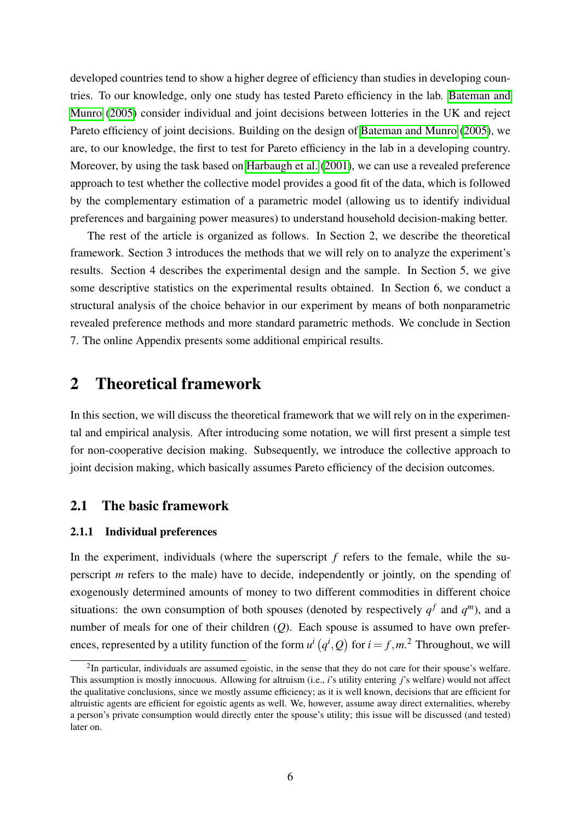developed countries tend to show a higher degree of efficiency than studies in developing countries. To our knowledge, only one study has tested Pareto efficiency in the lab. [Bateman and](#page-38-7) [Munro](#page-38-7) [\(2005\)](#page-38-7) consider individual and joint decisions between lotteries in the UK and reject Pareto efficiency of joint decisions. Building on the design of [Bateman and Munro](#page-38-7) [\(2005\)](#page-38-7), we are, to our knowledge, the first to test for Pareto efficiency in the lab in a developing country. Moreover, by using the task based on [Harbaugh et al.](#page-40-9) [\(2001\)](#page-40-9), we can use a revealed preference approach to test whether the collective model provides a good fit of the data, which is followed by the complementary estimation of a parametric model (allowing us to identify individual preferences and bargaining power measures) to understand household decision-making better.

The rest of the article is organized as follows. In Section 2, we describe the theoretical framework. Section 3 introduces the methods that we will rely on to analyze the experiment's results. Section 4 describes the experimental design and the sample. In Section 5, we give some descriptive statistics on the experimental results obtained. In Section 6, we conduct a structural analysis of the choice behavior in our experiment by means of both nonparametric revealed preference methods and more standard parametric methods. We conclude in Section 7. The online Appendix presents some additional empirical results.

# 2 Theoretical framework

In this section, we will discuss the theoretical framework that we will rely on in the experimental and empirical analysis. After introducing some notation, we will first present a simple test for non-cooperative decision making. Subsequently, we introduce the collective approach to joint decision making, which basically assumes Pareto efficiency of the decision outcomes.

## <span id="page-7-0"></span>2.1 The basic framework

#### 2.1.1 Individual preferences

In the experiment, individuals (where the superscript  $f$  refers to the female, while the superscript *m* refers to the male) have to decide, independently or jointly, on the spending of exogenously determined amounts of money to two different commodities in different choice situations: the own consumption of both spouses (denoted by respectively  $q<sup>f</sup>$  and  $q<sup>m</sup>$ ), and a number of meals for one of their children (*Q*). Each spouse is assumed to have own preferences, represented by a utility function of the form  $u^i(q^i, Q)$  for  $i = f, m^2$ . Throughout, we will

<sup>&</sup>lt;sup>2</sup>In particular, individuals are assumed egoistic, in the sense that they do not care for their spouse's welfare. This assumption is mostly innocuous. Allowing for altruism (i.e., *i*'s utility entering *j*'s welfare) would not affect the qualitative conclusions, since we mostly assume efficiency; as it is well known, decisions that are efficient for altruistic agents are efficient for egoistic agents as well. We, however, assume away direct externalities, whereby a person's private consumption would directly enter the spouse's utility; this issue will be discussed (and tested) later on.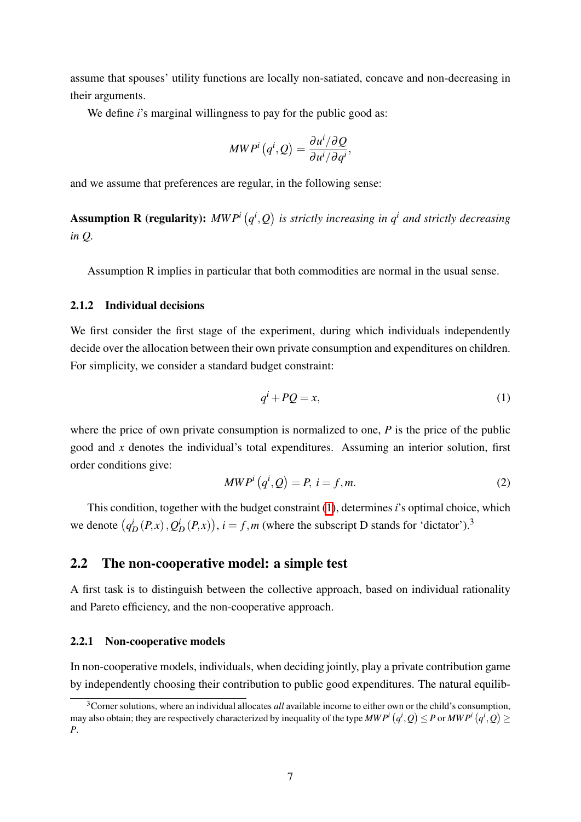assume that spouses' utility functions are locally non-satiated, concave and non-decreasing in their arguments.

We define *i*'s marginal willingness to pay for the public good as:

$$
\textit{MWP}^{i}\left(q^{i},\mathcal{Q}\right)=\frac{\partial u^{i}/\partial \mathcal{Q}}{\partial u^{i}/\partial q^{i}},
$$

and we assume that preferences are regular, in the following sense:

**Assumption R (regularity):**  $MWP^i(q^i, Q)$  is strictly increasing in  $q^i$  and strictly decreasing *in Q.*

Assumption R implies in particular that both commodities are normal in the usual sense.

### 2.1.2 Individual decisions

We first consider the first stage of the experiment, during which individuals independently decide over the allocation between their own private consumption and expenditures on children. For simplicity, we consider a standard budget constraint:

<span id="page-8-0"></span>
$$
q^i + PQ = x,\tag{1}
$$

where the price of own private consumption is normalized to one, *P* is the price of the public good and *x* denotes the individual's total expenditures. Assuming an interior solution, first order conditions give:

<span id="page-8-1"></span>
$$
MWPi(qi, Q) = P, i = f, m.
$$
 (2)

This condition, together with the budget constraint  $(\prod)$ , determines *i*'s optimal choice, which we denote  $(q_D^i(P,x), Q_D^i(P,x))$ ,  $i = f, m$  (where the subscript D stands for 'dictator').<sup>3</sup>

## 2.2 The non-cooperative model: a simple test

A first task is to distinguish between the collective approach, based on individual rationality and Pareto efficiency, and the non-cooperative approach.

#### 2.2.1 Non-cooperative models

In non-cooperative models, individuals, when deciding jointly, play a private contribution game by independently choosing their contribution to public good expenditures. The natural equilib-

<sup>&</sup>lt;sup>3</sup>Corner solutions, where an individual allocates *all* available income to either own or the child's consumption, may also obtain; they are respectively characterized by inequality of the type  $MWP^i(q^i, Q) \leq P$  or  $MWP^i(q^i, Q) \geq$ *P*.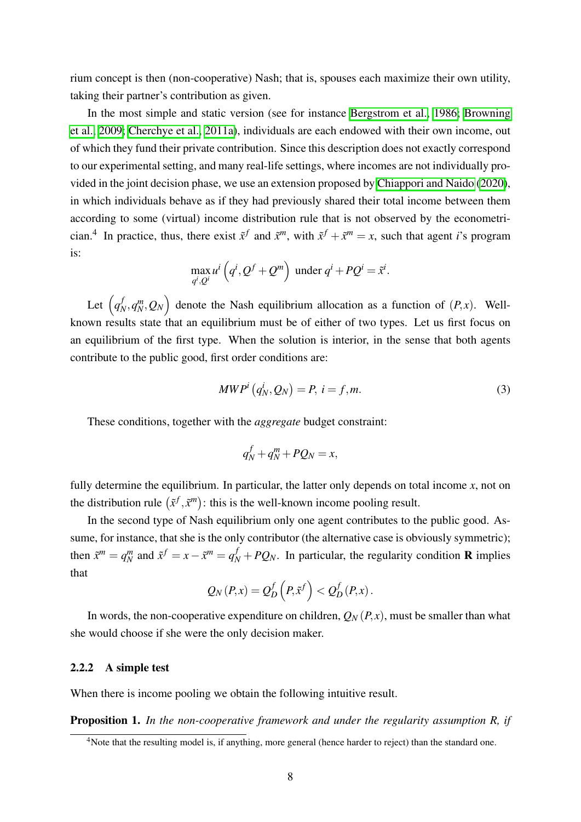rium concept is then (non-cooperative) Nash; that is, spouses each maximize their own utility, taking their partner's contribution as given.

In the most simple and static version (see for instance [Bergstrom et al., 1986;](#page-38-3) [Browning](#page-39-4) [et al., 2009;](#page-39-4) [Cherchye et al., 2011a\)](#page-39-9), individuals are each endowed with their own income, out of which they fund their private contribution. Since this description does not exactly correspond to our experimental setting, and many real-life settings, where incomes are not individually pro-vided in the joint decision phase, we use an extension proposed by [Chiappori and Naido](#page-40-10)  $(2020)$ , in which individuals behave as if they had previously shared their total income between them according to some (virtual) income distribution rule that is not observed by the econometrician.<sup>4</sup> In practice, thus, there exist  $\tilde{x}^f$  and  $\tilde{x}^m$ , with  $\tilde{x}^f + \tilde{x}^m = x$ , such that agent *i*'s program is:

$$
\max_{q^i, Q^i} u^i \left( q^i, Q^f + Q^m \right) \text{ under } q^i + PQ^i = \tilde{x}^i.
$$

Let  $(q_N^f, q_N^m, Q_N)$  denote the Nash equilibrium allocation as a function of  $(P, x)$ . Wellknown results state that an equilibrium must be of either of two types. Let us first focus on an equilibrium of the first type. When the solution is interior, in the sense that both agents contribute to the public good, first order conditions are:

<span id="page-9-0"></span>
$$
MWPi(qNi, QN) = P, i = f, m.
$$
\n(3)

These conditions, together with the *aggregate* budget constraint:

$$
q_N^f + q_N^m + PQ_N = x,
$$

fully determine the equilibrium. In particular, the latter only depends on total income *x*, not on the distribution rule  $(\tilde{x}^f, \tilde{x}^m)$ : this is the well-known income pooling result.

In the second type of Nash equilibrium only one agent contributes to the public good. Assume, for instance, that she is the only contributor (the alternative case is obviously symmetric); then  $\tilde{x}^m = q_N^m$  and  $\tilde{x}^f = x - \tilde{x}^m = q_N^f + PQ_N$ . In particular, the regularity condition **R** implies that

$$
Q_N(P,x) = Q_D^f\left(P,\tilde{x}^f\right) < Q_D^f(P,x).
$$

In words, the non-cooperative expenditure on children,  $Q_N(P, x)$ , must be smaller than what she would choose if she were the only decision maker.

#### 2.2.2 A simple test

When there is income pooling we obtain the following intuitive result.

Proposition 1. *In the non-cooperative framework and under the regularity assumption R, if*

<sup>&</sup>lt;sup>4</sup>Note that the resulting model is, if anything, more general (hence harder to reject) than the standard one.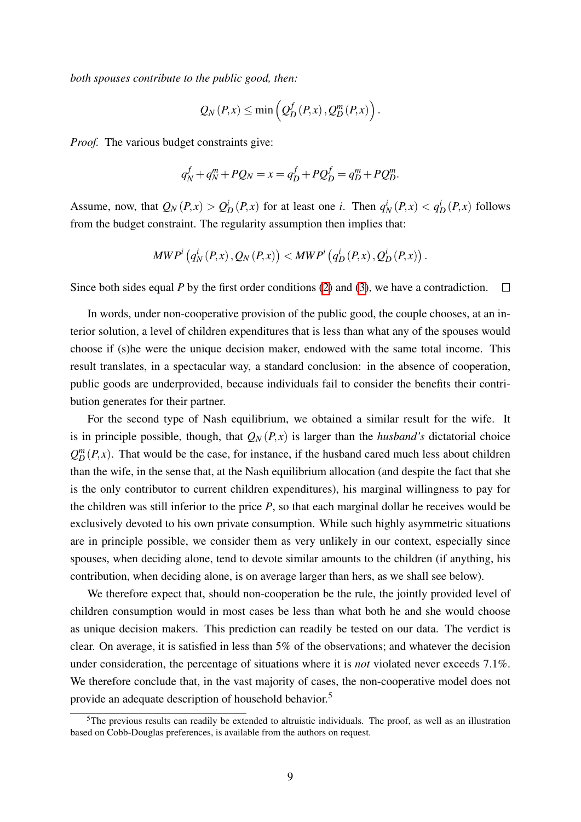*both spouses contribute to the public good, then:*

$$
Q_N(P,x) \leq \min\left(Q_D^f(P,x), Q_D^m(P,x)\right).
$$

*Proof.* The various budget constraints give:

$$
q_N^f + q_N^m + PQ_N = x = q_D^f + PQ_D^f = q_D^m + PQ_D^m.
$$

Assume, now, that  $Q_N(P,x) > Q_D^i(P,x)$  for at least one *i*. Then  $q_N^i(P,x) < q_D^i(P,x)$  follows from the budget constraint. The regularity assumption then implies that:

$$
MWPi(qNi(P,x), QN(P,x)) < MWPi(qDi(P,x), QDi(P,x)).
$$

Since both sides equal *P* by the first order conditions  $(2)$  and  $(3)$ , we have a contradiction.  $\Box$ 

In words, under non-cooperative provision of the public good, the couple chooses, at an interior solution, a level of children expenditures that is less than what any of the spouses would choose if (s)he were the unique decision maker, endowed with the same total income. This result translates, in a spectacular way, a standard conclusion: in the absence of cooperation, public goods are underprovided, because individuals fail to consider the benefits their contribution generates for their partner.

For the second type of Nash equilibrium, we obtained a similar result for the wife. It is in principle possible, though, that  $Q_N(P, x)$  is larger than the *husband's* dictatorial choice  $Q_D^m(P,x)$ . That would be the case, for instance, if the husband cared much less about children than the wife, in the sense that, at the Nash equilibrium allocation (and despite the fact that she is the only contributor to current children expenditures), his marginal willingness to pay for the children was still inferior to the price *P*, so that each marginal dollar he receives would be exclusively devoted to his own private consumption. While such highly asymmetric situations are in principle possible, we consider them as very unlikely in our context, especially since spouses, when deciding alone, tend to devote similar amounts to the children (if anything, his contribution, when deciding alone, is on average larger than hers, as we shall see below).

We therefore expect that, should non-cooperation be the rule, the jointly provided level of children consumption would in most cases be less than what both he and she would choose as unique decision makers. This prediction can readily be tested on our data. The verdict is clear. On average, it is satisfied in less than 5% of the observations; and whatever the decision under consideration, the percentage of situations where it is *not* violated never exceeds 7.1%. We therefore conclude that, in the vast majority of cases, the non-cooperative model does not provide an adequate description of household behavior.5

<sup>&</sup>lt;sup>5</sup>The previous results can readily be extended to altruistic individuals. The proof, as well as an illustration based on Cobb-Douglas preferences, is available from the authors on request.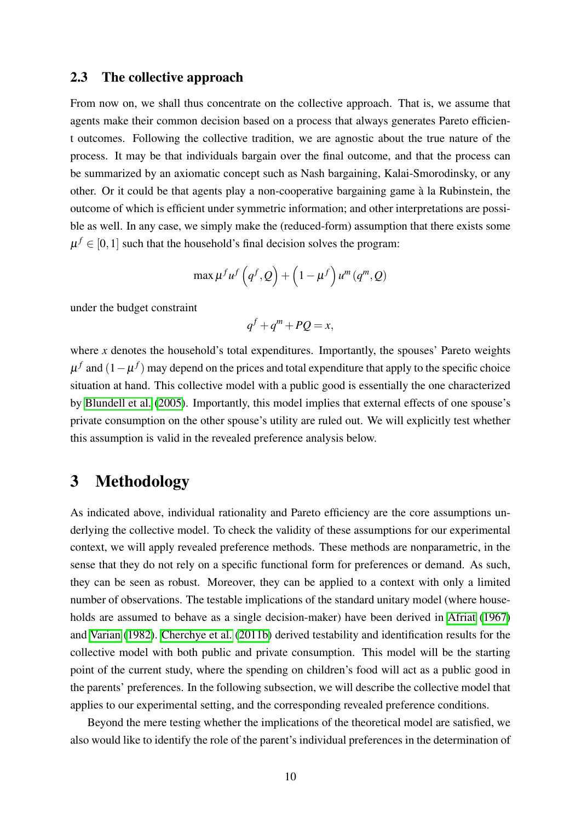### <span id="page-11-0"></span>2.3 The collective approach

From now on, we shall thus concentrate on the collective approach. That is, we assume that agents make their common decision based on a process that always generates Pareto efficient outcomes. Following the collective tradition, we are agnostic about the true nature of the process. It may be that individuals bargain over the final outcome, and that the process can be summarized by an axiomatic concept such as Nash bargaining, Kalai-Smorodinsky, or any other. Or it could be that agents play a non-cooperative bargaining game à la Rubinstein, the outcome of which is efficient under symmetric information; and other interpretations are possible as well. In any case, we simply make the (reduced-form) assumption that there exists some  $\mu^{f} \in [0, 1]$  such that the household's final decision solves the program:

$$
\max \mu^f u^f \left( q^f, Q \right) + \left( 1 - \mu^f \right) u^m \left( q^m, Q \right)
$$

under the budget constraint

$$
q^f + q^m + PQ = x,
$$

where *x* denotes the household's total expenditures. Importantly, the spouses' Pareto weights  $\mu^f$  and  $(1-\mu^f)$  may depend on the prices and total expenditure that apply to the specific choice situation at hand. This collective model with a public good is essentially the one characterized by [Blundell et al.](#page-38-0) [\(2005\)](#page-38-0). Importantly, this model implies that external effects of one spouse's private consumption on the other spouse's utility are ruled out. We will explicitly test whether this assumption is valid in the revealed preference analysis below.

## 3 Methodology

As indicated above, individual rationality and Pareto efficiency are the core assumptions underlying the collective model. To check the validity of these assumptions for our experimental context, we will apply revealed preference methods. These methods are nonparametric, in the sense that they do not rely on a specific functional form for preferences or demand. As such, they can be seen as robust. Moreover, they can be applied to a context with only a limited number of observations. The testable implications of the standard unitary model (where house-holds are assumed to behave as a single decision-maker) have been derived in [Afriat](#page-37-7) [\(1967\)](#page-37-7) and [Varian](#page-42-4) [\(1982\)](#page-42-4). [Cherchye et al.](#page-39-2) [\(2011b\)](#page-39-2) derived testability and identification results for the collective model with both public and private consumption. This model will be the starting point of the current study, where the spending on children's food will act as a public good in the parents' preferences. In the following subsection, we will describe the collective model that applies to our experimental setting, and the corresponding revealed preference conditions.

Beyond the mere testing whether the implications of the theoretical model are satisfied, we also would like to identify the role of the parent's individual preferences in the determination of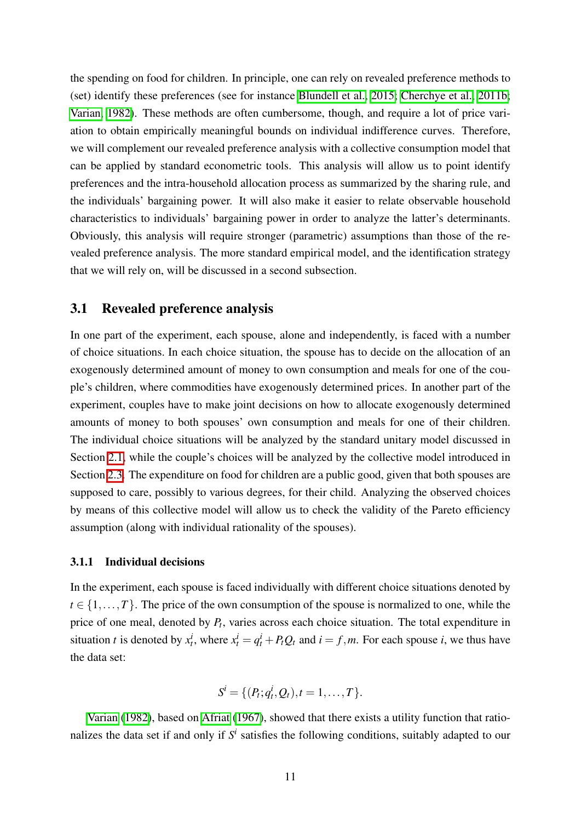the spending on food for children. In principle, one can rely on revealed preference methods to (set) identify these preferences (see for instance [Blundell et al., 2015;](#page-38-8) [Cherchye et al., 2011b;](#page-39-2) [Varian, 1982\)](#page-42-4). These methods are often cumbersome, though, and require a lot of price variation to obtain empirically meaningful bounds on individual indifference curves. Therefore, we will complement our revealed preference analysis with a collective consumption model that can be applied by standard econometric tools. This analysis will allow us to point identify preferences and the intra-household allocation process as summarized by the sharing rule, and the individuals' bargaining power. It will also make it easier to relate observable household characteristics to individuals' bargaining power in order to analyze the latter's determinants. Obviously, this analysis will require stronger (parametric) assumptions than those of the revealed preference analysis. The more standard empirical model, and the identification strategy that we will rely on, will be discussed in a second subsection.

## 3.1 Revealed preference analysis

In one part of the experiment, each spouse, alone and independently, is faced with a number of choice situations. In each choice situation, the spouse has to decide on the allocation of an exogenously determined amount of money to own consumption and meals for one of the couple's children, where commodities have exogenously determined prices. In another part of the experiment, couples have to make joint decisions on how to allocate exogenously determined amounts of money to both spouses' own consumption and meals for one of their children. The individual choice situations will be analyzed by the standard unitary model discussed in Section  $\overline{2.1}$ , while the couple's choices will be analyzed by the collective model introduced in Section  $\boxed{2.3}$ . The expenditure on food for children are a public good, given that both spouses are supposed to care, possibly to various degrees, for their child. Analyzing the observed choices by means of this collective model will allow us to check the validity of the Pareto efficiency assumption (along with individual rationality of the spouses).

#### 3.1.1 Individual decisions

In the experiment, each spouse is faced individually with different choice situations denoted by  $t \in \{1, \ldots, T\}$ . The price of the own consumption of the spouse is normalized to one, while the price of one meal, denoted by *Pt*, varies across each choice situation. The total expenditure in situation *t* is denoted by  $x_t^i$ , where  $x_t^i = q_t^i + P_tQ_t$  and  $i = f, m$ . For each spouse *i*, we thus have the data set:

$$
S^i = \{ (P_t; q_t^i, Q_t), t = 1, \ldots, T \}.
$$

[Varian](#page-42-4) [\(1982\)](#page-42-4), based on [Afriat](#page-37-7) [\(1967\)](#page-37-7), showed that there exists a utility function that rationalizes the data set if and only if  $S<sup>i</sup>$  satisfies the following conditions, suitably adapted to our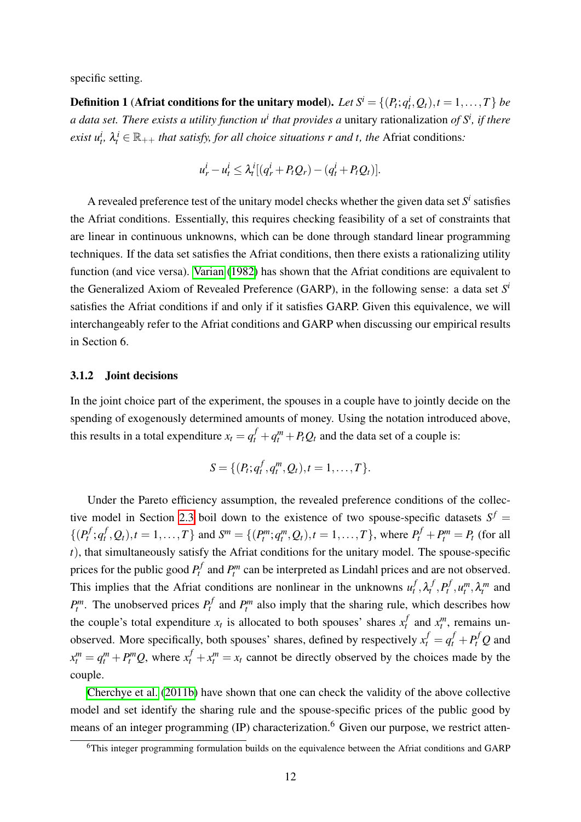specific setting.

<span id="page-13-0"></span>**Definition 1** (Afriat conditions for the unitary model). Let  $S^i = \{(P_t; q_t^i, Q_t), t = 1, ..., T\}$  be *a data set. There exists a utility function ui that provides a* unitary rationalization *of S<sup>i</sup> , if there exist*  $u_t^i$ ,  $\lambda_t^i \in \mathbb{R}_{++}$  *that satisfy, for all choice situations r and t, the* Afriat conditions:

$$
u_r^i - u_t^i \leq \lambda_t^i [(q_r^i + P_t Q_r) - (q_t^i + P_t Q_t)].
$$

A revealed preference test of the unitary model checks whether the given data set  $S<sup>i</sup>$  satisfies the Afriat conditions. Essentially, this requires checking feasibility of a set of constraints that are linear in continuous unknowns, which can be done through standard linear programming techniques. If the data set satisfies the Afriat conditions, then there exists a rationalizing utility function (and vice versa). [Varian](#page-42-4) [\(1982\)](#page-42-4) has shown that the Afriat conditions are equivalent to the Generalized Axiom of Revealed Preference (GARP), in the following sense: a data set *S<sup>i</sup>* satisfies the Afriat conditions if and only if it satisfies GARP. Given this equivalence, we will interchangeably refer to the Afriat conditions and GARP when discussing our empirical results in Section 6.

#### 3.1.2 Joint decisions

In the joint choice part of the experiment, the spouses in a couple have to jointly decide on the spending of exogenously determined amounts of money. Using the notation introduced above, this results in a total expenditure  $x_t = q_t^f + q_t^m + P_tQ_t$  and the data set of a couple is:

$$
S = \{ (P_t; q_t^f, q_t^m, Q_t), t = 1, \ldots, T \}.
$$

Under the Pareto efficiency assumption, the revealed preference conditions of the collective model in Section  $\overline{2.3}$  boil down to the existence of two spouse-specific datasets  $S^f$  =  $\{(P_t^f; q_t^f, Q_t), t = 1, ..., T\}$  and  $S^m = \{(P_t^m; q_t^m, Q_t), t = 1, ..., T\}$ , where  $P_t^f + P_t^m = P_t$  (for all *t*), that simultaneously satisfy the Afriat conditions for the unitary model. The spouse-specific prices for the public good  $P_t^f$  and  $P_t^m$  can be interpreted as Lindahl prices and are not observed. This implies that the Afriat conditions are nonlinear in the unknowns  $u_t^f$ ,  $\lambda_t^f$ ,  $P_t^f$ ,  $u_t^m$ ,  $\lambda_t^m$  and  $P_t^m$ . The unobserved prices  $P_t^f$  and  $P_t^m$  also imply that the sharing rule, which describes how the couple's total expenditure  $x_t$  is allocated to both spouses' shares  $x_t^f$  and  $x_t^m$ , remains unobserved. More specifically, both spouses' shares, defined by respectively  $x_t^f = q_t^f + P_t^f Q$  and  $x_t^m = q_t^m + P_t^m Q$ , where  $x_t^f + x_t^m = x_t$  cannot be directly observed by the choices made by the couple.

[Cherchye et al.](#page-39-2) [\(2011b\)](#page-39-2) have shown that one can check the validity of the above collective model and set identify the sharing rule and the spouse-specific prices of the public good by means of an integer programming  $(IP)$  characterization.<sup>6</sup> Given our purpose, we restrict atten-

<sup>&</sup>lt;sup>6</sup>This integer programming formulation builds on the equivalence between the Afriat conditions and GARP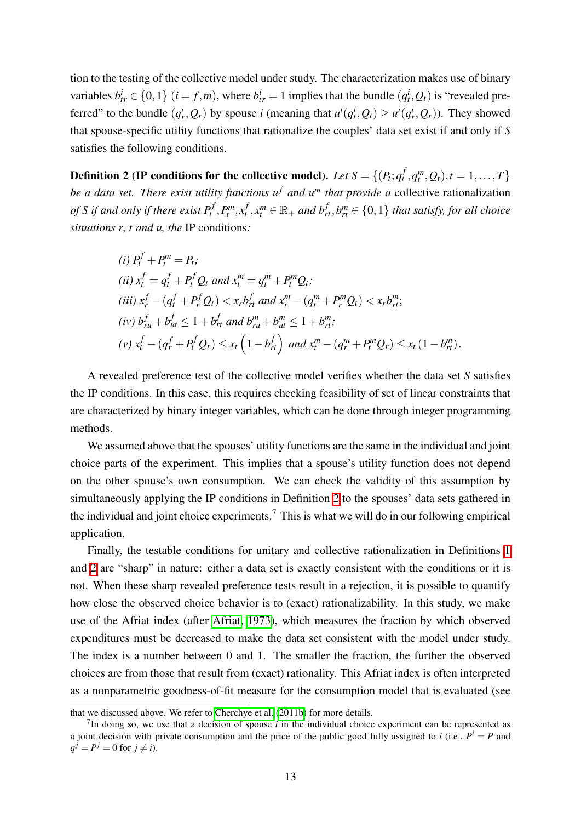tion to the testing of the collective model under study. The characterization makes use of binary variables  $b_{tr}^i \in \{0,1\}$   $(i = f,m)$ , where  $b_{tr}^i = 1$  implies that the bundle  $(q_t^i, Q_t)$  is "revealed preferred" to the bundle  $(q_r^i, Q_r)$  by spouse *i* (meaning that  $u^i(q_t^i, Q_t) \ge u^i(q_r^i, Q_r)$ ). They showed that spouse-specific utility functions that rationalize the couples' data set exist if and only if *S* satisfies the following conditions.

<span id="page-14-0"></span>Definition 2 (IP conditions for the collective model). Let  $S = \{(P_t; q_t^f, q_t^m, Q_t), t = 1, ..., T\}$ *be a data set. There exist utility functions*  $u^f$  *and*  $u^m$  *that provide a collective rationalization* of S if and only if there exist  $P_t^f, P_t^m, x_t^f, x_t^m \in \mathbb{R}_+$  and  $b_{rt}^f, b_{rt}^m \in \{0,1\}$  that satisfy, for all choice *situations r, t and u, the* IP conditions*:*

(i) 
$$
P_t^f + P_t^m = P_t
$$
;  
\n(ii)  $x_t^f = q_t^f + P_t^f Q_t$  and  $x_t^m = q_t^m + P_t^m Q_t$ ;  
\n(iii)  $x_r^f - (q_t^f + P_r^f Q_t) < x_r b_{rt}^f$  and  $x_r^m - (q_t^m + P_r^m Q_t) < x_r b_{rt}^m$ ;  
\n(iv)  $b_{ru}^f + b_{ut}^f \le 1 + b_{rt}^f$  and  $b_{ru}^m + b_{ut}^m \le 1 + b_{rt}^m$ ;  
\n(v)  $x_t^f - (q_r^f + P_t^f Q_r) \le x_t (1 - b_{rt}^f)$  and  $x_t^m - (q_r^m + P_t^m Q_r) \le x_t (1 - b_{rt}^m)$ .

A revealed preference test of the collective model verifies whether the data set *S* satisfies the IP conditions. In this case, this requires checking feasibility of set of linear constraints that are characterized by binary integer variables, which can be done through integer programming methods.

We assumed above that the spouses' utility functions are the same in the individual and joint choice parts of the experiment. This implies that a spouse's utility function does not depend on the other spouse's own consumption. We can check the validity of this assumption by simultaneously applying the IP conditions in Definition  $\overline{2}$  to the spouses' data sets gathered in the individual and joint choice experiments.<sup>7</sup> This is what we will do in our following empirical application.

Finally, the testable conditions for unitary and collective rationalization in Definitions  $\overline{1}$ and  $\sqrt{2}$  are "sharp" in nature: either a data set is exactly consistent with the conditions or it is not. When these sharp revealed preference tests result in a rejection, it is possible to quantify how close the observed choice behavior is to (exact) rationalizability. In this study, we make use of the Afriat index (after [Afriat, 1973\)](#page-37-8), which measures the fraction by which observed expenditures must be decreased to make the data set consistent with the model under study. The index is a number between 0 and 1. The smaller the fraction, the further the observed choices are from those that result from (exact) rationality. This Afriat index is often interpreted as a nonparametric goodness-of-fit measure for the consumption model that is evaluated (see

that we discussed above. We refer to [Cherchye et al.](#page-39-2)  $(2011b)$  for more details.

<sup>7</sup>In doing so, we use that a decision of spouse *i* in the individual choice experiment can be represented as a joint decision with private consumption and the price of the public good fully assigned to *i* (i.e.,  $P^i = P$  and  $q^{j} = P^{j} = 0$  for  $j \neq i$ ).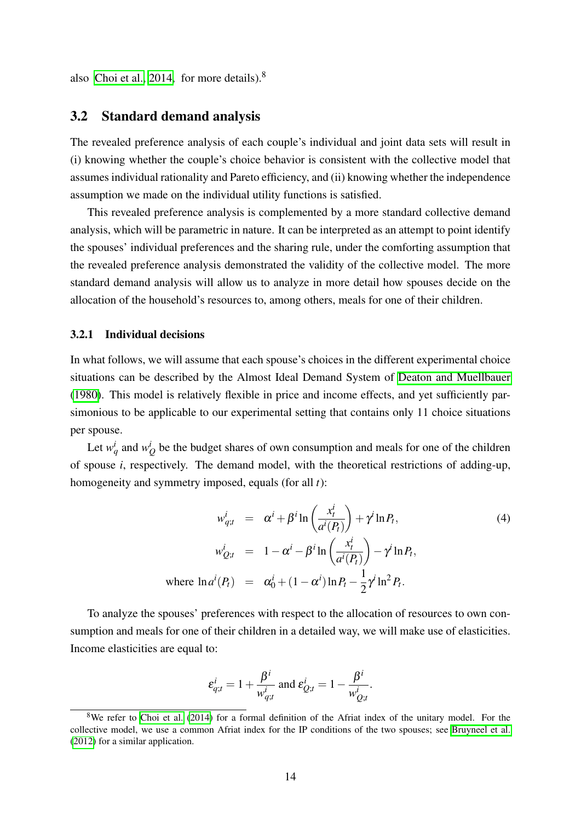also Choi et al.,  $2014$ , for more details).<sup>8</sup>

## 3.2 Standard demand analysis

The revealed preference analysis of each couple's individual and joint data sets will result in (i) knowing whether the couple's choice behavior is consistent with the collective model that assumes individual rationality and Pareto efficiency, and (ii) knowing whether the independence assumption we made on the individual utility functions is satisfied.

This revealed preference analysis is complemented by a more standard collective demand analysis, which will be parametric in nature. It can be interpreted as an attempt to point identify the spouses' individual preferences and the sharing rule, under the comforting assumption that the revealed preference analysis demonstrated the validity of the collective model. The more standard demand analysis will allow us to analyze in more detail how spouses decide on the allocation of the household's resources to, among others, meals for one of their children.

#### 3.2.1 Individual decisions

In what follows, we will assume that each spouse's choices in the different experimental choice situations can be described by the Almost Ideal Demand System of [Deaton and Muellbauer](#page-40-12) [\(1980\)](#page-40-12). This model is relatively flexible in price and income effects, and yet sufficiently parsimonious to be applicable to our experimental setting that contains only 11 choice situations per spouse.

Let  $w_q^i$  and  $w_Q^i$  be the budget shares of own consumption and meals for one of the children of spouse *i*, respectively. The demand model, with the theoretical restrictions of adding-up, homogeneity and symmetry imposed, equals (for all *t*):

<span id="page-15-0"></span>
$$
w_{q;t}^i = \alpha^i + \beta^i \ln \left( \frac{x_t^i}{a^i(P_t)} \right) + \gamma^i \ln P_t,
$$
\n
$$
w_{Q;t}^i = 1 - \alpha^i - \beta^i \ln \left( \frac{x_t^i}{a^i(P_t)} \right) - \gamma^i \ln P_t,
$$
\nwhere  $\ln a^i(P_t) = \alpha_0^i + (1 - \alpha^i) \ln P_t - \frac{1}{2} \gamma^i \ln^2 P_t.$ 

\n(4)

To analyze the spouses' preferences with respect to the allocation of resources to own consumption and meals for one of their children in a detailed way, we will make use of elasticities. Income elasticities are equal to:

$$
\varepsilon_{q;t}^i = 1 + \frac{\beta^i}{w_{q;t}^i}
$$
 and 
$$
\varepsilon_{Q;t}^i = 1 - \frac{\beta^i}{w_{Q;t}^i}.
$$

<sup>&</sup>lt;sup>8</sup>We refer to [Choi et al.](#page-40-11)  $(2014)$  for a formal definition of the Afriat index of the unitary model. For the collective model, we use a common Afriat index for the IP conditions of the two spouses; see [Bruyneel et al.](#page-39-10) [\(2012\)](#page-39-10) for a similar application.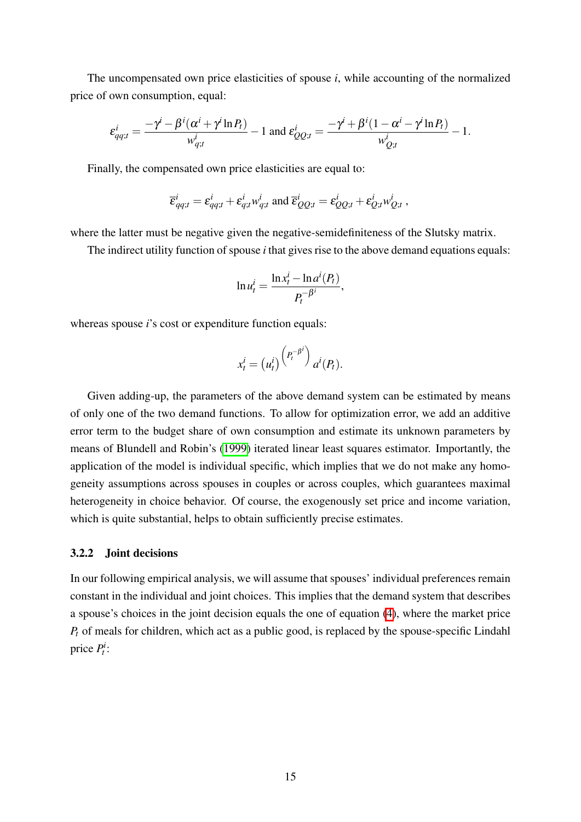The uncompensated own price elasticities of spouse *i*, while accounting of the normalized price of own consumption, equal:

$$
\varepsilon_{qq;t}^i = \frac{-\gamma^i - \beta^i(\alpha^i + \gamma^i \ln P_t)}{w_{q;t}^i} - 1 \text{ and } \varepsilon_{QQ;t}^i = \frac{-\gamma^i + \beta^i(1 - \alpha^i - \gamma^i \ln P_t)}{w_{Q;t}^i} - 1.
$$

Finally, the compensated own price elasticities are equal to:

$$
\overline{\varepsilon}_{qq;t}^i = \varepsilon_{qq;t}^i + \varepsilon_{q;t}^i w_{q;t}^i \text{ and } \overline{\varepsilon}_{QQ;t}^i = \varepsilon_{QQ;t}^i + \varepsilon_{Q;t}^i w_{Q;t}^i ,
$$

where the latter must be negative given the negative-semidefiniteness of the Slutsky matrix.

The indirect utility function of spouse *i* that gives rise to the above demand equations equals:

$$
\ln u_t^i = \frac{\ln x_t^i - \ln a^i(P_t)}{P_t^{-\beta^i}},
$$

whereas spouse *i*'s cost or expenditure function equals:

$$
x_t^i = (u_t^i) \binom{P_t^{-\beta i}}{a^i(P_t)}.
$$

Given adding-up, the parameters of the above demand system can be estimated by means of only one of the two demand functions. To allow for optimization error, we add an additive error term to the budget share of own consumption and estimate its unknown parameters by means of Blundell and Robin's [\(1999\)](#page-38-9) iterated linear least squares estimator. Importantly, the application of the model is individual specific, which implies that we do not make any homogeneity assumptions across spouses in couples or across couples, which guarantees maximal heterogeneity in choice behavior. Of course, the exogenously set price and income variation, which is quite substantial, helps to obtain sufficiently precise estimates.

#### 3.2.2 Joint decisions

In our following empirical analysis, we will assume that spouses' individual preferences remain constant in the individual and joint choices. This implies that the demand system that describes a spouse's choices in the joint decision equals the one of equation  $\overline{A}$ , where the market price *Pt* of meals for children, which act as a public good, is replaced by the spouse-specific Lindahl price *Pi t* :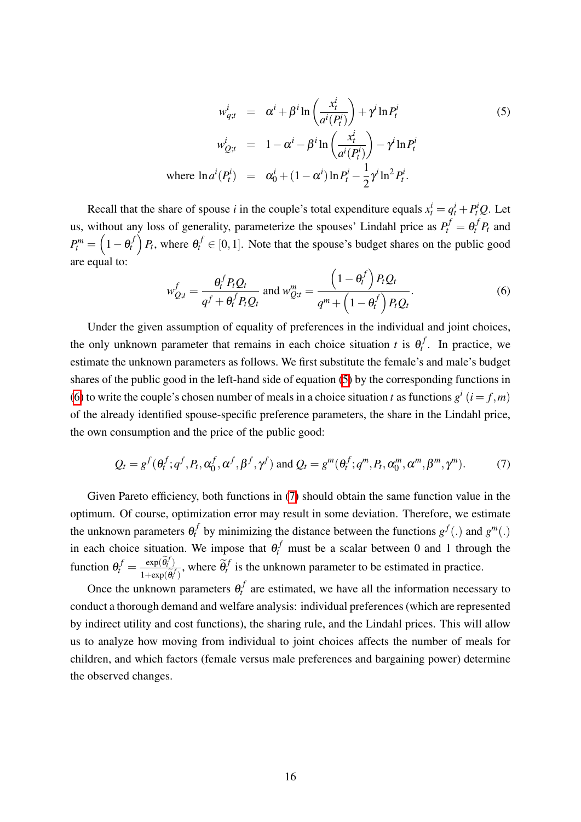<span id="page-17-0"></span>
$$
w_{q;t}^i = \alpha^i + \beta^i \ln \left( \frac{x_t^i}{a^i(P_t^i)} \right) + \gamma^i \ln P_t^i
$$
\n
$$
w_{Q;t}^i = 1 - \alpha^i - \beta^i \ln \left( \frac{x_t^i}{a^i(P_t^i)} \right) - \gamma^i \ln P_t^i
$$
\nwhere 
$$
\ln a^i(P_t^i) = \alpha_0^i + (1 - \alpha^i) \ln P_t^i - \frac{1}{2} \gamma^i \ln^2 P_t^i.
$$

Recall that the share of spouse *i* in the couple's total expenditure equals  $x_t^i = q_t^i + P_t^i Q$ . Let us, without any loss of generality, parameterize the spouses' Lindahl price as  $P_t^f = \theta_t^f P_t$  and  $P_t^m = \left(1-\theta_t^f\right)$  $P_t$ , where  $\theta_t^f \in [0,1]$ . Note that the spouse's budget shares on the public good are equal to:

<span id="page-17-1"></span>
$$
w_{Q;t}^f = \frac{\theta_t^f P_t Q_t}{q^f + \theta_t^f P_t Q_t} \text{ and } w_{Q;t}^m = \frac{\left(1 - \theta_t^f\right) P_t Q_t}{q^m + \left(1 - \theta_t^f\right) P_t Q_t}.
$$
 (6)

Under the given assumption of equality of preferences in the individual and joint choices, the only unknown parameter that remains in each choice situation *t* is  $\theta_t^f$ . In practice, we estimate the unknown parameters as follows. We first substitute the female's and male's budget shares of the public good in the left-hand side of equation  $\binom{5}{1}$  by the corresponding functions in [\(6\)](#page-17-1) to write the couple's chosen number of meals in a choice situation *t* as functions  $g^{i}$  ( $i = f, m$ ) of the already identified spouse-specific preference parameters, the share in the Lindahl price, the own consumption and the price of the public good:

<span id="page-17-2"></span>
$$
Q_t = g^f(\theta_t^f; q^f, P_t, \alpha_0^f, \alpha^f, \beta^f, \gamma^f) \text{ and } Q_t = g^m(\theta_t^f; q^m, P_t, \alpha_0^m, \alpha^m, \beta^m, \gamma^m). \tag{7}
$$

Given Pareto efficiency, both functions in  $\sqrt{\sqrt{7}}$  should obtain the same function value in the optimum. Of course, optimization error may result in some deviation. Therefore, we estimate the unknown parameters  $\theta_t^f$  by minimizing the distance between the functions  $g^f(.)$  and  $g^m(.)$ in each choice situation. We impose that  $\theta_t^f$  must be a scalar between 0 and 1 through the function  $\theta_t^f = \frac{\exp(\tilde{\theta}_t^f)}{1 + \exp(\tilde{\theta}_t^f)}$  $\frac{\exp(\theta_t^f)}{1+\exp(\tilde{\theta}_t^f)}$ , where  $\tilde{\theta}_t^f$  is the unknown parameter to be estimated in practice.

Once the unknown parameters  $\theta_t^f$  are estimated, we have all the information necessary to conduct a thorough demand and welfare analysis: individual preferences (which are represented by indirect utility and cost functions), the sharing rule, and the Lindahl prices. This will allow us to analyze how moving from individual to joint choices affects the number of meals for children, and which factors (female versus male preferences and bargaining power) determine the observed changes.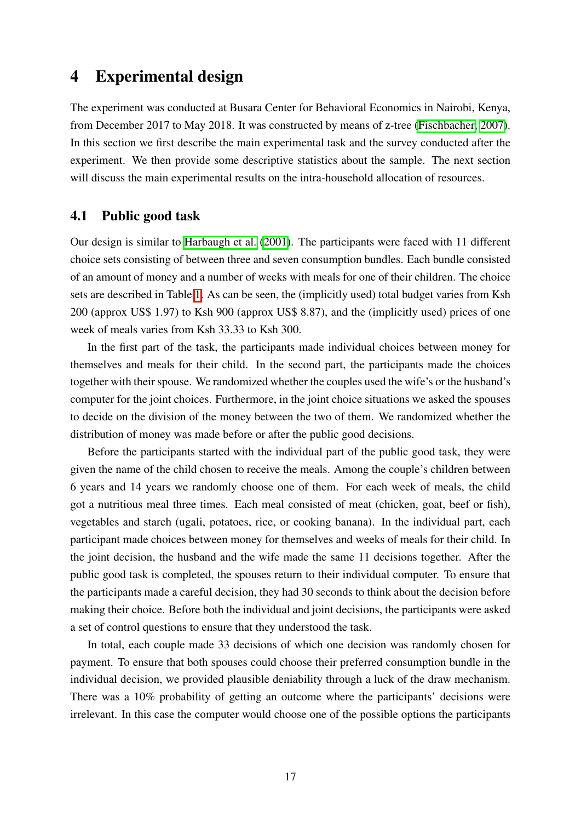# 4 Experimental design

The experiment was conducted at Busara Center for Behavioral Economics in Nairobi, Kenya, from December 2017 to May 2018. It was constructed by means of z-tree [\(Fischbacher, 2007\)](#page-40-13). In this section we first describe the main experimental task and the survey conducted after the experiment. We then provide some descriptive statistics about the sample. The next section will discuss the main experimental results on the intra-household allocation of resources.

## 4.1 Public good task

Our design is similar to [Harbaugh et al.](#page-40-9) [\(2001\)](#page-40-9). The participants were faced with 11 different choice sets consisting of between three and seven consumption bundles. Each bundle consisted of an amount of money and a number of weeks with meals for one of their children. The choice sets are described in Table  $\overline{1}$ . As can be seen, the (implicitly used) total budget varies from Ksh 200 (approx US\$ 1.97) to Ksh 900 (approx US\$ 8.87), and the (implicitly used) prices of one week of meals varies from Ksh 33.33 to Ksh 300.

In the first part of the task, the participants made individual choices between money for themselves and meals for their child. In the second part, the participants made the choices together with their spouse. We randomized whether the couples used the wife's or the husband's computer for the joint choices. Furthermore, in the joint choice situations we asked the spouses to decide on the division of the money between the two of them. We randomized whether the distribution of money was made before or after the public good decisions.

Before the participants started with the individual part of the public good task, they were given the name of the child chosen to receive the meals. Among the couple's children between 6 years and 14 years we randomly choose one of them. For each week of meals, the child got a nutritious meal three times. Each meal consisted of meat (chicken, goat, beef or fish), vegetables and starch (ugali, potatoes, rice, or cooking banana). In the individual part, each participant made choices between money for themselves and weeks of meals for their child. In the joint decision, the husband and the wife made the same 11 decisions together. After the public good task is completed, the spouses return to their individual computer. To ensure that the participants made a careful decision, they had 30 seconds to think about the decision before making their choice. Before both the individual and joint decisions, the participants were asked a set of control questions to ensure that they understood the task.

In total, each couple made 33 decisions of which one decision was randomly chosen for payment. To ensure that both spouses could choose their preferred consumption bundle in the individual decision, we provided plausible deniability through a luck of the draw mechanism. There was a 10% probability of getting an outcome where the participants' decisions were irrelevant. In this case the computer would choose one of the possible options the participants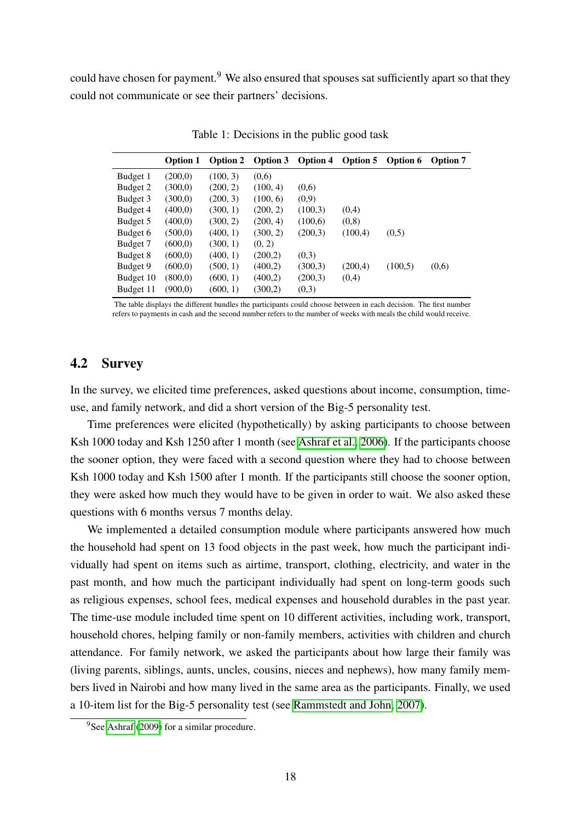could have chosen for payment.<sup>9</sup> We also ensured that spouses sat sufficiently apart so that they could not communicate or see their partners' decisions.

<span id="page-19-0"></span>

|           | <b>Option 1</b> | Option 2 | Option 3 | <b>Option 4</b> | Option 5 | Option 6 | <b>Option 7</b> |
|-----------|-----------------|----------|----------|-----------------|----------|----------|-----------------|
| Budget 1  | (200,0)         | (100, 3) | (0,6)    |                 |          |          |                 |
| Budget 2  | (300,0)         | (200, 2) | (100, 4) | (0,6)           |          |          |                 |
| Budget 3  | (300,0)         | (200, 3) | (100, 6) | (0,9)           |          |          |                 |
| Budget 4  | (400,0)         | (300, 1) | (200, 2) | (100,3)         | (0,4)    |          |                 |
| Budget 5  | (400,0)         | (300, 2) | (200, 4) | (100,6)         | (0,8)    |          |                 |
| Budget 6  | (500,0)         | (400, 1) | (300, 2) | (200,3)         | (100,4)  | (0,5)    |                 |
| Budget 7  | (600, 0)        | (300, 1) | (0, 2)   |                 |          |          |                 |
| Budget 8  | (600,0)         | (400, 1) | (200,2)  | (0,3)           |          |          |                 |
| Budget 9  | (600, 0)        | (500, 1) | (400,2)  | (300,3)         | (200,4)  | (100,5)  | (0,6)           |
| Budget 10 | (800,0)         | (600, 1) | (400,2)  | (200,3)         | (0,4)    |          |                 |
| Budget 11 | (900,0)         | (600, 1) | (300,2)  | (0,3)           |          |          |                 |

Table 1: Decisions in the public good task

The table displays the different bundles the participants could choose between in each decision. The first number refers to payments in cash and the second number refers to the number of weeks with meals the child would receive.

## 4.2 Survey

In the survey, we elicited time preferences, asked questions about income, consumption, timeuse, and family network, and did a short version of the Big-5 personality test.

Time preferences were elicited (hypothetically) by asking participants to choose between Ksh 1000 today and Ksh 1250 after 1 month (see [Ashraf et al., 2006\)](#page-37-9). If the participants choose the sooner option, they were faced with a second question where they had to choose between Ksh 1000 today and Ksh 1500 after 1 month. If the participants still choose the sooner option, they were asked how much they would have to be given in order to wait. We also asked these questions with 6 months versus 7 months delay.

We implemented a detailed consumption module where participants answered how much the household had spent on 13 food objects in the past week, how much the participant individually had spent on items such as airtime, transport, clothing, electricity, and water in the past month, and how much the participant individually had spent on long-term goods such as religious expenses, school fees, medical expenses and household durables in the past year. The time-use module included time spent on 10 different activities, including work, transport, household chores, helping family or non-family members, activities with children and church attendance. For family network, we asked the participants about how large their family was (living parents, siblings, aunts, uncles, cousins, nieces and nephews), how many family members lived in Nairobi and how many lived in the same area as the participants. Finally, we used a 10-item list for the Big-5 personality test (see [Rammstedt and John, 2007\)](#page-41-10).

<sup>&</sup>lt;sup>9</sup>See [Ashraf](#page-37-10) [\(2009\)](#page-37-10) for a similar procedure.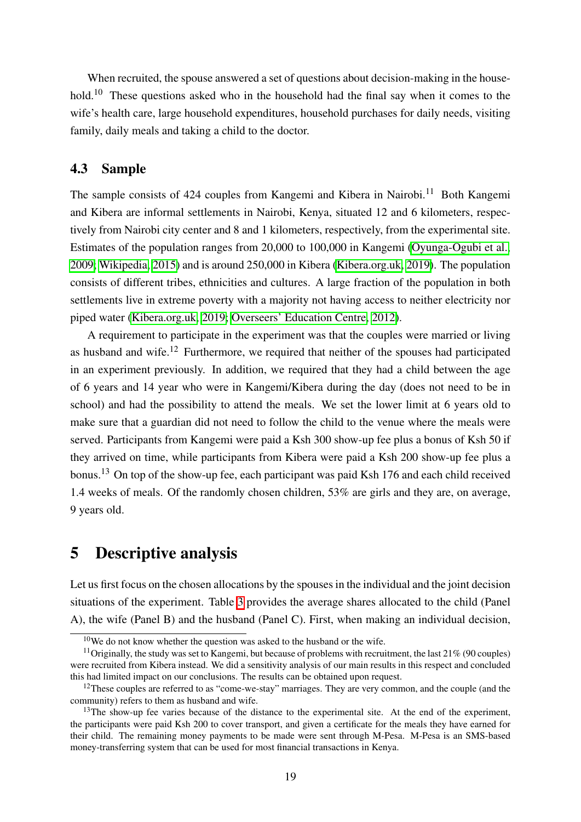When recruited, the spouse answered a set of questions about decision-making in the household.<sup>10</sup> These questions asked who in the household had the final say when it comes to the wife's health care, large household expenditures, household purchases for daily needs, visiting family, daily meals and taking a child to the doctor.

## 4.3 Sample

The sample consists of 424 couples from Kangemi and Kibera in Nairobi.<sup>11</sup> Both Kangemi and Kibera are informal settlements in Nairobi, Kenya, situated 12 and 6 kilometers, respectively from Nairobi city center and 8 and 1 kilometers, respectively, from the experimental site. Estimates of the population ranges from 20,000 to 100,000 in Kangemi [\(Oyunga-Ogubi et al.,](#page-41-11) [2009;](#page-41-11) [Wikipedia, 2015\)](#page-42-5) and is around 250,000 in Kibera [\(Kibera.org.uk, 2019\)](#page-41-12). The population consists of different tribes, ethnicities and cultures. A large fraction of the population in both settlements live in extreme poverty with a majority not having access to neither electricity nor piped water [\(Kibera.org.uk, 2019;](#page-41-12) [Overseers' Education Centre, 2012\)](#page-41-13).

A requirement to participate in the experiment was that the couples were married or living as husband and wife.12 Furthermore, we required that neither of the spouses had participated in an experiment previously. In addition, we required that they had a child between the age of 6 years and 14 year who were in Kangemi/Kibera during the day (does not need to be in school) and had the possibility to attend the meals. We set the lower limit at 6 years old to make sure that a guardian did not need to follow the child to the venue where the meals were served. Participants from Kangemi were paid a Ksh 300 show-up fee plus a bonus of Ksh 50 if they arrived on time, while participants from Kibera were paid a Ksh 200 show-up fee plus a bonus.<sup>13</sup> On top of the show-up fee, each participant was paid Ksh 176 and each child received 1.4 weeks of meals. Of the randomly chosen children, 53% are girls and they are, on average, 9 years old.

# 5 Descriptive analysis

Let us first focus on the chosen allocations by the spouses in the individual and the joint decision situations of the experiment. Table  $\overline{3}$  provides the average shares allocated to the child (Panel A), the wife (Panel B) and the husband (Panel C). First, when making an individual decision,

 $10$ We do not know whether the question was asked to the husband or the wife.

<sup>&</sup>lt;sup>11</sup>Originally, the study was set to Kangemi, but because of problems with recruitment, the last 21% (90 couples) were recruited from Kibera instead. We did a sensitivity analysis of our main results in this respect and concluded this had limited impact on our conclusions. The results can be obtained upon request.

<sup>&</sup>lt;sup>12</sup>These couples are referred to as "come-we-stay" marriages. They are very common, and the couple (and the community) refers to them as husband and wife.

<sup>&</sup>lt;sup>13</sup>The show-up fee varies because of the distance to the experimental site. At the end of the experiment, the participants were paid Ksh 200 to cover transport, and given a certificate for the meals they have earned for their child. The remaining money payments to be made were sent through M-Pesa. M-Pesa is an SMS-based money-transferring system that can be used for most financial transactions in Kenya.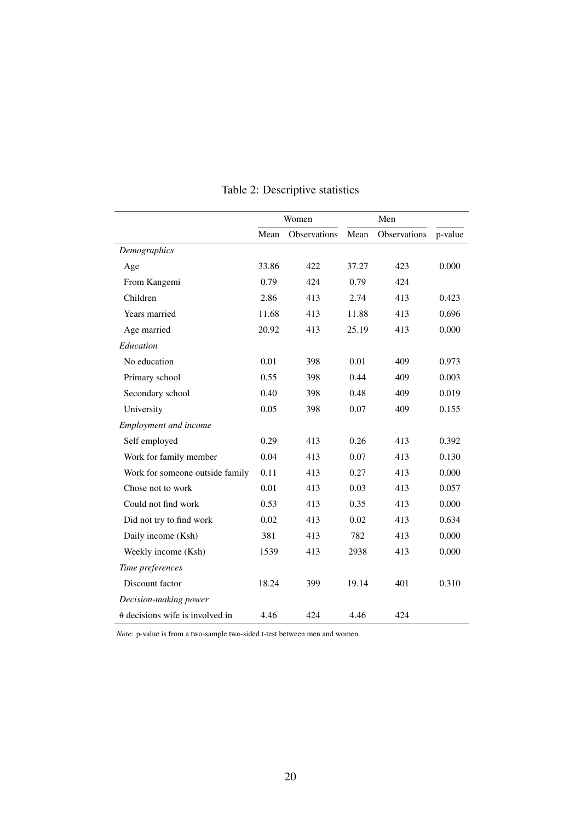|                                 | Women |              | Men   |              |         |
|---------------------------------|-------|--------------|-------|--------------|---------|
|                                 | Mean  | Observations | Mean  | Observations | p-value |
| Demographics                    |       |              |       |              |         |
| Age                             | 33.86 | 422          | 37.27 | 423          | 0.000   |
| From Kangemi                    | 0.79  | 424          | 0.79  | 424          |         |
| Children                        | 2.86  | 413          | 2.74  | 413          | 0.423   |
| Years married                   | 11.68 | 413          | 11.88 | 413          | 0.696   |
| Age married                     | 20.92 | 413          | 25.19 | 413          | 0.000   |
| Education                       |       |              |       |              |         |
| No education                    | 0.01  | 398          | 0.01  | 409          | 0.973   |
| Primary school                  | 0.55  | 398          | 0.44  | 409          | 0.003   |
| Secondary school                | 0.40  | 398          | 0.48  | 409          | 0.019   |
| University                      | 0.05  | 398          | 0.07  | 409          | 0.155   |
| Employment and income           |       |              |       |              |         |
| Self employed                   | 0.29  | 413          | 0.26  | 413          | 0.392   |
| Work for family member          | 0.04  | 413          | 0.07  | 413          | 0.130   |
| Work for someone outside family | 0.11  | 413          | 0.27  | 413          | 0.000   |
| Chose not to work               | 0.01  | 413          | 0.03  | 413          | 0.057   |
| Could not find work             | 0.53  | 413          | 0.35  | 413          | 0.000   |
| Did not try to find work        | 0.02  | 413          | 0.02  | 413          | 0.634   |
| Daily income (Ksh)              | 381   | 413          | 782   | 413          | 0.000   |
| Weekly income (Ksh)             | 1539  | 413          | 2938  | 413          | 0.000   |
| Time preferences                |       |              |       |              |         |
| Discount factor                 | 18.24 | 399          | 19.14 | 401          | 0.310   |
| Decision-making power           |       |              |       |              |         |
| # decisions wife is involved in | 4.46  | 424          | 4.46  | 424          |         |

# Table 2: Descriptive statistics

*Note:* p-value is from a two-sample two-sided t-test between men and women.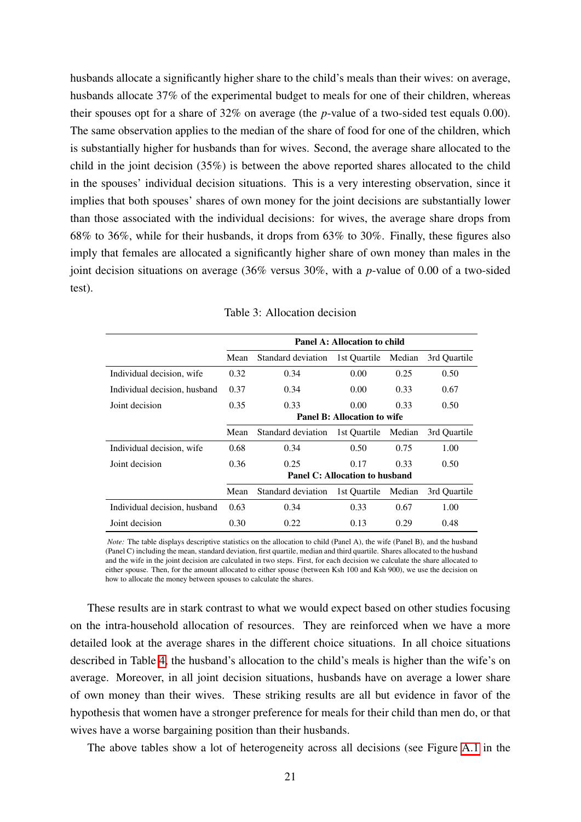husbands allocate a significantly higher share to the child's meals than their wives: on average, husbands allocate 37% of the experimental budget to meals for one of their children, whereas their spouses opt for a share of 32% on average (the *p*-value of a two-sided test equals 0.00). The same observation applies to the median of the share of food for one of the children, which is substantially higher for husbands than for wives. Second, the average share allocated to the child in the joint decision (35%) is between the above reported shares allocated to the child in the spouses' individual decision situations. This is a very interesting observation, since it implies that both spouses' shares of own money for the joint decisions are substantially lower than those associated with the individual decisions: for wives, the average share drops from 68% to 36%, while for their husbands, it drops from 63% to 30%. Finally, these figures also imply that females are allocated a significantly higher share of own money than males in the joint decision situations on average (36% versus 30%, with a *p*-value of 0.00 of a two-sided test).

<span id="page-22-0"></span>

|                              | <b>Panel A: Allocation to child</b> |                    |                                |        |              |
|------------------------------|-------------------------------------|--------------------|--------------------------------|--------|--------------|
|                              | Mean                                | Standard deviation | 1st Ouartile                   | Median | 3rd Ouartile |
| Individual decision, wife    | 0.32                                | 0.34               | 0.00                           | 0.25   | 0.50         |
| Individual decision, husband | 0.37                                | 0.34               | 0.00                           | 0.33   | 0.67         |
| Joint decision               | 0.35                                | 0.33               | 0.00                           | 0.33   | 0.50         |
|                              | <b>Panel B: Allocation to wife</b>  |                    |                                |        |              |
|                              | Mean                                | Standard deviation | 1st Ouartile                   | Median | 3rd Ouartile |
| Individual decision, wife    | 0.68                                | 0.34               | 0.50                           | 0.75   | 1.00         |
| Joint decision               | 0.36                                | 0.25               | 0.17                           | 0.33   | 0.50         |
|                              |                                     |                    | Panel C: Allocation to husband |        |              |
|                              | Mean                                | Standard deviation | 1st Quartile                   | Median | 3rd Quartile |
| Individual decision, husband | 0.63                                | 0.34               | 0.33                           | 0.67   | 1.00         |
| Joint decision               | 0.30                                | 0.22               | 0.13                           | 0.29   | 0.48         |

Table 3: Allocation decision

*Note:* The table displays descriptive statistics on the allocation to child (Panel A), the wife (Panel B), and the husband (Panel C) including the mean, standard deviation, first quartile, median and third quartile. Shares allocated to the husband and the wife in the joint decision are calculated in two steps. First, for each decision we calculate the share allocated to either spouse. Then, for the amount allocated to either spouse (between Ksh 100 and Ksh 900), we use the decision on how to allocate the money between spouses to calculate the shares.

These results are in stark contrast to what we would expect based on other studies focusing on the intra-household allocation of resources. They are reinforced when we have a more detailed look at the average shares in the different choice situations. In all choice situations described in Table  $\frac{1}{4}$ , the husband's allocation to the child's meals is higher than the wife's on average. Moreover, in all joint decision situations, husbands have on average a lower share of own money than their wives. These striking results are all but evidence in favor of the hypothesis that women have a stronger preference for meals for their child than men do, or that wives have a worse bargaining position than their husbands.

The above tables show a lot of heterogeneity across all decisions (see Figure  $\overline{A.1}$  in the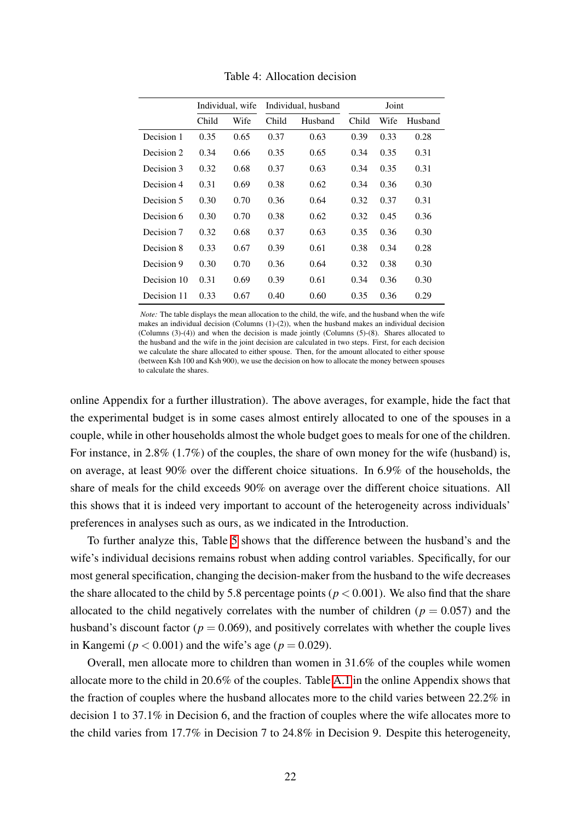<span id="page-23-0"></span>

|             |       | Individual, wife |       | Individual, husband |       | Joint |         |  |
|-------------|-------|------------------|-------|---------------------|-------|-------|---------|--|
|             | Child | Wife             | Child | Husband             | Child | Wife  | Husband |  |
| Decision 1  | 0.35  | 0.65             | 0.37  | 0.63                | 0.39  | 0.33  | 0.28    |  |
| Decision 2  | 0.34  | 0.66             | 0.35  | 0.65                | 0.34  | 0.35  | 0.31    |  |
| Decision 3  | 0.32  | 0.68             | 0.37  | 0.63                | 0.34  | 0.35  | 0.31    |  |
| Decision 4  | 0.31  | 0.69             | 0.38  | 0.62                | 0.34  | 0.36  | 0.30    |  |
| Decision 5  | 0.30  | 0.70             | 0.36  | 0.64                | 0.32  | 0.37  | 0.31    |  |
| Decision 6  | 0.30  | 0.70             | 0.38  | 0.62                | 0.32  | 0.45  | 0.36    |  |
| Decision 7  | 0.32  | 0.68             | 0.37  | 0.63                | 0.35  | 0.36  | 0.30    |  |
| Decision 8  | 0.33  | 0.67             | 0.39  | 0.61                | 0.38  | 0.34  | 0.28    |  |
| Decision 9  | 0.30  | 0.70             | 0.36  | 0.64                | 0.32  | 0.38  | 0.30    |  |
| Decision 10 | 0.31  | 0.69             | 0.39  | 0.61                | 0.34  | 0.36  | 0.30    |  |
| Decision 11 | 0.33  | 0.67             | 0.40  | 0.60                | 0.35  | 0.36  | 0.29    |  |

Table 4: Allocation decision

*Note:* The table displays the mean allocation to the child, the wife, and the husband when the wife makes an individual decision (Columns  $(1)-(2)$ ), when the husband makes an individual decision (Columns (3)-(4)) and when the decision is made jointly (Columns (5)-(8). Shares allocated to the husband and the wife in the joint decision are calculated in two steps. First, for each decision we calculate the share allocated to either spouse. Then, for the amount allocated to either spouse (between Ksh 100 and Ksh 900), we use the decision on how to allocate the money between spouses to calculate the shares.

online Appendix for a further illustration). The above averages, for example, hide the fact that the experimental budget is in some cases almost entirely allocated to one of the spouses in a couple, while in other households almost the whole budget goes to meals for one of the children. For instance, in 2.8% (1.7%) of the couples, the share of own money for the wife (husband) is, on average, at least 90% over the different choice situations. In 6.9% of the households, the share of meals for the child exceeds 90% on average over the different choice situations. All this shows that it is indeed very important to account of the heterogeneity across individuals' preferences in analyses such as ours, as we indicated in the Introduction.

To further analyze this, Table  $\overline{5}$  shows that the difference between the husband's and the wife's individual decisions remains robust when adding control variables. Specifically, for our most general specification, changing the decision-maker from the husband to the wife decreases the share allocated to the child by 5.8 percentage points ( $p < 0.001$ ). We also find that the share allocated to the child negatively correlates with the number of children ( $p = 0.057$ ) and the husband's discount factor ( $p = 0.069$ ), and positively correlates with whether the couple lives in Kangemi ( $p < 0.001$ ) and the wife's age ( $p = 0.029$ ).

Overall, men allocate more to children than women in 31.6% of the couples while women allocate more to the child in 20.6% of the couples. Table  $\overline{A}$ . I in the online Appendix shows that the fraction of couples where the husband allocates more to the child varies between 22.2% in decision 1 to 37.1% in Decision 6, and the fraction of couples where the wife allocates more to the child varies from 17.7% in Decision 7 to 24.8% in Decision 9. Despite this heterogeneity,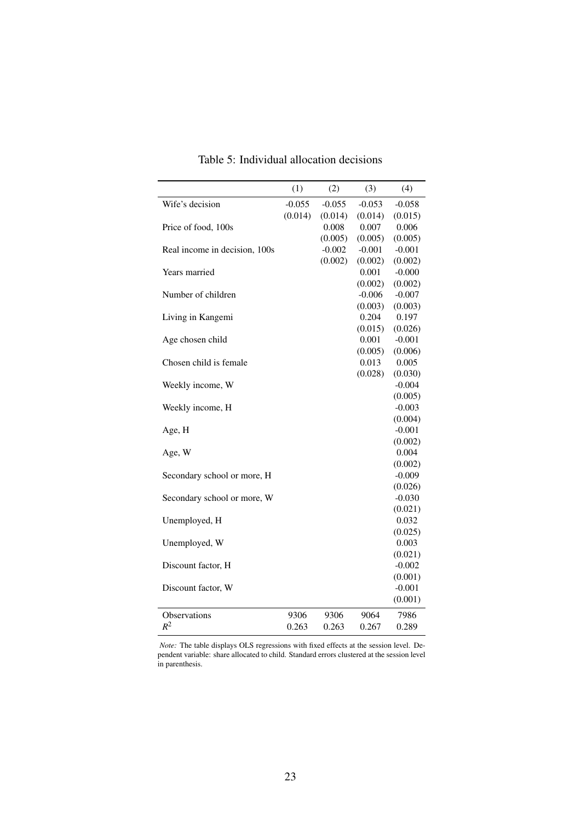<span id="page-24-0"></span>

| Wife's decision<br>$-0.055$<br>$-0.055$<br>$-0.053$<br>$-0.058$<br>(0.014)<br>(0.014)<br>(0.014)<br>(0.015)<br>0.007<br>0.006<br>Price of food, 100s<br>0.008<br>(0.005)<br>(0.005)<br>(0.005)<br>$-0.001$<br>$-0.001$<br>Real income in decision, 100s<br>$-0.002$<br>(0.002)<br>(0.002)<br>(0.002)<br>Years married<br>0.001<br>$-0.000$<br>(0.002)<br>(0.002)<br>Number of children<br>$-0.006$<br>$-0.007$<br>(0.003)<br>(0.003)<br>0.204<br>0.197<br>Living in Kangemi<br>(0.015)<br>(0.026)<br>Age chosen child<br>0.001<br>$-0.001$<br>(0.005)<br>(0.006)<br>Chosen child is female<br>0.013<br>0.005<br>(0.028)<br>(0.030)<br>$-0.004$<br>Weekly income, W<br>(0.005)<br>Weekly income, H<br>$-0.003$<br>(0.004)<br>$-0.001$<br>Age, H<br>(0.002)<br>0.004<br>Age, W<br>(0.002)<br>Secondary school or more, H<br>$-0.009$<br>(0.026)<br>Secondary school or more, W<br>$-0.030$<br>(0.021)<br>Unemployed, H<br>0.032<br>(0.025)<br>0.003<br>Unemployed, W<br>(0.021)<br>Discount factor, H<br>$-0.002$<br>(0.001)<br>$-0.001$<br>Discount factor, W<br>(0.001) |                     | (1)  | (2)  | (3)  | (4)  |
|-------------------------------------------------------------------------------------------------------------------------------------------------------------------------------------------------------------------------------------------------------------------------------------------------------------------------------------------------------------------------------------------------------------------------------------------------------------------------------------------------------------------------------------------------------------------------------------------------------------------------------------------------------------------------------------------------------------------------------------------------------------------------------------------------------------------------------------------------------------------------------------------------------------------------------------------------------------------------------------------------------------------------------------------------------------------------|---------------------|------|------|------|------|
|                                                                                                                                                                                                                                                                                                                                                                                                                                                                                                                                                                                                                                                                                                                                                                                                                                                                                                                                                                                                                                                                         |                     |      |      |      |      |
|                                                                                                                                                                                                                                                                                                                                                                                                                                                                                                                                                                                                                                                                                                                                                                                                                                                                                                                                                                                                                                                                         |                     |      |      |      |      |
|                                                                                                                                                                                                                                                                                                                                                                                                                                                                                                                                                                                                                                                                                                                                                                                                                                                                                                                                                                                                                                                                         |                     |      |      |      |      |
|                                                                                                                                                                                                                                                                                                                                                                                                                                                                                                                                                                                                                                                                                                                                                                                                                                                                                                                                                                                                                                                                         |                     |      |      |      |      |
|                                                                                                                                                                                                                                                                                                                                                                                                                                                                                                                                                                                                                                                                                                                                                                                                                                                                                                                                                                                                                                                                         |                     |      |      |      |      |
|                                                                                                                                                                                                                                                                                                                                                                                                                                                                                                                                                                                                                                                                                                                                                                                                                                                                                                                                                                                                                                                                         |                     |      |      |      |      |
|                                                                                                                                                                                                                                                                                                                                                                                                                                                                                                                                                                                                                                                                                                                                                                                                                                                                                                                                                                                                                                                                         |                     |      |      |      |      |
|                                                                                                                                                                                                                                                                                                                                                                                                                                                                                                                                                                                                                                                                                                                                                                                                                                                                                                                                                                                                                                                                         |                     |      |      |      |      |
|                                                                                                                                                                                                                                                                                                                                                                                                                                                                                                                                                                                                                                                                                                                                                                                                                                                                                                                                                                                                                                                                         |                     |      |      |      |      |
|                                                                                                                                                                                                                                                                                                                                                                                                                                                                                                                                                                                                                                                                                                                                                                                                                                                                                                                                                                                                                                                                         |                     |      |      |      |      |
|                                                                                                                                                                                                                                                                                                                                                                                                                                                                                                                                                                                                                                                                                                                                                                                                                                                                                                                                                                                                                                                                         |                     |      |      |      |      |
|                                                                                                                                                                                                                                                                                                                                                                                                                                                                                                                                                                                                                                                                                                                                                                                                                                                                                                                                                                                                                                                                         |                     |      |      |      |      |
|                                                                                                                                                                                                                                                                                                                                                                                                                                                                                                                                                                                                                                                                                                                                                                                                                                                                                                                                                                                                                                                                         |                     |      |      |      |      |
|                                                                                                                                                                                                                                                                                                                                                                                                                                                                                                                                                                                                                                                                                                                                                                                                                                                                                                                                                                                                                                                                         |                     |      |      |      |      |
|                                                                                                                                                                                                                                                                                                                                                                                                                                                                                                                                                                                                                                                                                                                                                                                                                                                                                                                                                                                                                                                                         |                     |      |      |      |      |
|                                                                                                                                                                                                                                                                                                                                                                                                                                                                                                                                                                                                                                                                                                                                                                                                                                                                                                                                                                                                                                                                         |                     |      |      |      |      |
|                                                                                                                                                                                                                                                                                                                                                                                                                                                                                                                                                                                                                                                                                                                                                                                                                                                                                                                                                                                                                                                                         |                     |      |      |      |      |
|                                                                                                                                                                                                                                                                                                                                                                                                                                                                                                                                                                                                                                                                                                                                                                                                                                                                                                                                                                                                                                                                         |                     |      |      |      |      |
|                                                                                                                                                                                                                                                                                                                                                                                                                                                                                                                                                                                                                                                                                                                                                                                                                                                                                                                                                                                                                                                                         |                     |      |      |      |      |
|                                                                                                                                                                                                                                                                                                                                                                                                                                                                                                                                                                                                                                                                                                                                                                                                                                                                                                                                                                                                                                                                         |                     |      |      |      |      |
|                                                                                                                                                                                                                                                                                                                                                                                                                                                                                                                                                                                                                                                                                                                                                                                                                                                                                                                                                                                                                                                                         |                     |      |      |      |      |
|                                                                                                                                                                                                                                                                                                                                                                                                                                                                                                                                                                                                                                                                                                                                                                                                                                                                                                                                                                                                                                                                         |                     |      |      |      |      |
|                                                                                                                                                                                                                                                                                                                                                                                                                                                                                                                                                                                                                                                                                                                                                                                                                                                                                                                                                                                                                                                                         |                     |      |      |      |      |
|                                                                                                                                                                                                                                                                                                                                                                                                                                                                                                                                                                                                                                                                                                                                                                                                                                                                                                                                                                                                                                                                         |                     |      |      |      |      |
|                                                                                                                                                                                                                                                                                                                                                                                                                                                                                                                                                                                                                                                                                                                                                                                                                                                                                                                                                                                                                                                                         |                     |      |      |      |      |
|                                                                                                                                                                                                                                                                                                                                                                                                                                                                                                                                                                                                                                                                                                                                                                                                                                                                                                                                                                                                                                                                         |                     |      |      |      |      |
|                                                                                                                                                                                                                                                                                                                                                                                                                                                                                                                                                                                                                                                                                                                                                                                                                                                                                                                                                                                                                                                                         |                     |      |      |      |      |
|                                                                                                                                                                                                                                                                                                                                                                                                                                                                                                                                                                                                                                                                                                                                                                                                                                                                                                                                                                                                                                                                         |                     |      |      |      |      |
|                                                                                                                                                                                                                                                                                                                                                                                                                                                                                                                                                                                                                                                                                                                                                                                                                                                                                                                                                                                                                                                                         |                     |      |      |      |      |
|                                                                                                                                                                                                                                                                                                                                                                                                                                                                                                                                                                                                                                                                                                                                                                                                                                                                                                                                                                                                                                                                         |                     |      |      |      |      |
|                                                                                                                                                                                                                                                                                                                                                                                                                                                                                                                                                                                                                                                                                                                                                                                                                                                                                                                                                                                                                                                                         |                     |      |      |      |      |
|                                                                                                                                                                                                                                                                                                                                                                                                                                                                                                                                                                                                                                                                                                                                                                                                                                                                                                                                                                                                                                                                         |                     |      |      |      |      |
|                                                                                                                                                                                                                                                                                                                                                                                                                                                                                                                                                                                                                                                                                                                                                                                                                                                                                                                                                                                                                                                                         |                     |      |      |      |      |
|                                                                                                                                                                                                                                                                                                                                                                                                                                                                                                                                                                                                                                                                                                                                                                                                                                                                                                                                                                                                                                                                         |                     |      |      |      |      |
|                                                                                                                                                                                                                                                                                                                                                                                                                                                                                                                                                                                                                                                                                                                                                                                                                                                                                                                                                                                                                                                                         |                     |      |      |      |      |
|                                                                                                                                                                                                                                                                                                                                                                                                                                                                                                                                                                                                                                                                                                                                                                                                                                                                                                                                                                                                                                                                         | <b>Observations</b> | 9306 | 9306 | 9064 | 7986 |
| $R^2$<br>0.263<br>0.263<br>0.267<br>0.289                                                                                                                                                                                                                                                                                                                                                                                                                                                                                                                                                                                                                                                                                                                                                                                                                                                                                                                                                                                                                               |                     |      |      |      |      |

Table 5: Individual allocation decisions

*Note:* The table displays OLS regressions with fixed effects at the session level. Dependent variable: share allocated to child. Standard errors clustered at the session level in parenthesis.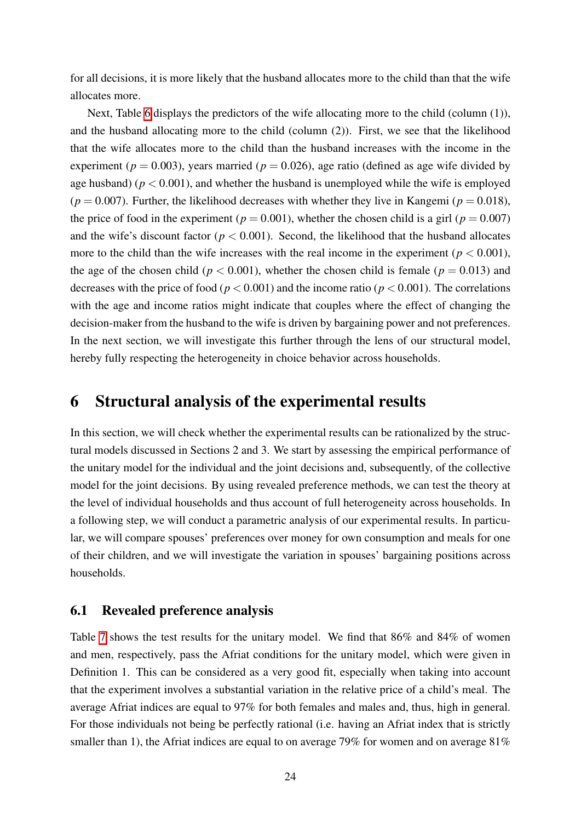for all decisions, it is more likely that the husband allocates more to the child than that the wife allocates more.

Next, Table  $\overline{6}$  displays the predictors of the wife allocating more to the child (column (1)), and the husband allocating more to the child (column (2)). First, we see that the likelihood that the wife allocates more to the child than the husband increases with the income in the experiment ( $p = 0.003$ ), years married ( $p = 0.026$ ), age ratio (defined as age wife divided by age husband) ( $p < 0.001$ ), and whether the husband is unemployed while the wife is employed  $(p = 0.007)$ . Further, the likelihood decreases with whether they live in Kangemi ( $p = 0.018$ ), the price of food in the experiment ( $p = 0.001$ ), whether the chosen child is a girl ( $p = 0.007$ ) and the wife's discount factor ( $p < 0.001$ ). Second, the likelihood that the husband allocates more to the child than the wife increases with the real income in the experiment ( $p < 0.001$ ), the age of the chosen child ( $p < 0.001$ ), whether the chosen child is female ( $p = 0.013$ ) and decreases with the price of food ( $p < 0.001$ ) and the income ratio ( $p < 0.001$ ). The correlations with the age and income ratios might indicate that couples where the effect of changing the decision-maker from the husband to the wife is driven by bargaining power and not preferences. In the next section, we will investigate this further through the lens of our structural model, hereby fully respecting the heterogeneity in choice behavior across households.

# 6 Structural analysis of the experimental results

In this section, we will check whether the experimental results can be rationalized by the structural models discussed in Sections 2 and 3. We start by assessing the empirical performance of the unitary model for the individual and the joint decisions and, subsequently, of the collective model for the joint decisions. By using revealed preference methods, we can test the theory at the level of individual households and thus account of full heterogeneity across households. In a following step, we will conduct a parametric analysis of our experimental results. In particular, we will compare spouses' preferences over money for own consumption and meals for one of their children, and we will investigate the variation in spouses' bargaining positions across households.

## 6.1 Revealed preference analysis

Table  $\sqrt{7}$  shows the test results for the unitary model. We find that 86% and 84% of women and men, respectively, pass the Afriat conditions for the unitary model, which were given in Definition 1. This can be considered as a very good fit, especially when taking into account that the experiment involves a substantial variation in the relative price of a child's meal. The average Afriat indices are equal to 97% for both females and males and, thus, high in general. For those individuals not being be perfectly rational (i.e. having an Afriat index that is strictly smaller than 1), the Afriat indices are equal to on average 79% for women and on average 81%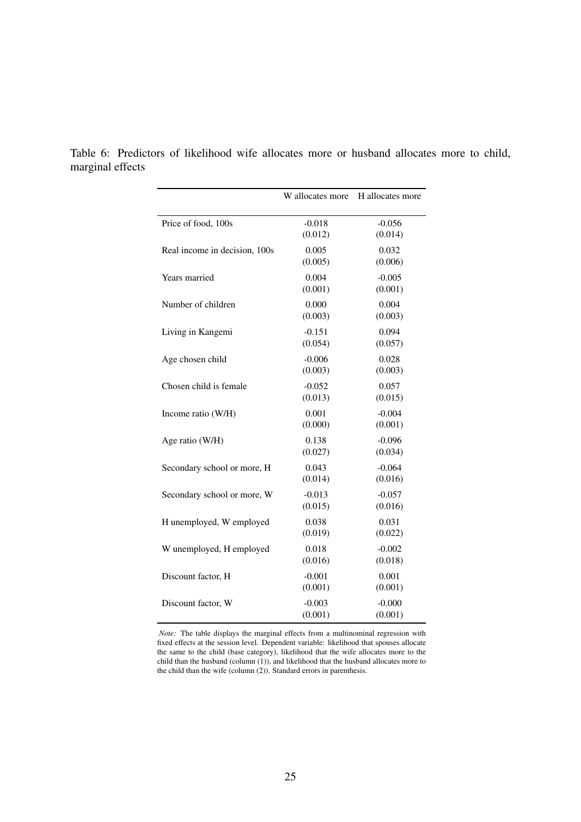|                               | W allocates more    | H allocates more    |
|-------------------------------|---------------------|---------------------|
| Price of food, 100s           | $-0.018$<br>(0.012) | $-0.056$<br>(0.014) |
| Real income in decision, 100s | 0.005<br>(0.005)    | 0.032<br>(0.006)    |
| Years married                 | 0.004<br>(0.001)    | $-0.005$<br>(0.001) |
| Number of children            | 0.000<br>(0.003)    | 0.004<br>(0.003)    |
| Living in Kangemi             | $-0.151$<br>(0.054) | 0.094<br>(0.057)    |
| Age chosen child              | $-0.006$<br>(0.003) | 0.028<br>(0.003)    |
| Chosen child is female        | $-0.052$<br>(0.013) | 0.057<br>(0.015)    |
| Income ratio (W/H)            | 0.001<br>(0.000)    | $-0.004$<br>(0.001) |
| Age ratio (W/H)               | 0.138<br>(0.027)    | $-0.096$<br>(0.034) |
| Secondary school or more, H   | 0.043<br>(0.014)    | $-0.064$<br>(0.016) |
| Secondary school or more, W   | $-0.013$<br>(0.015) | $-0.057$<br>(0.016) |
| H unemployed, W employed      | 0.038<br>(0.019)    | 0.031<br>(0.022)    |
| W unemployed, H employed      | 0.018<br>(0.016)    | $-0.002$<br>(0.018) |
| Discount factor, H            | $-0.001$<br>(0.001) | 0.001<br>(0.001)    |
| Discount factor, W            | $-0.003$<br>(0.001) | $-0.000$<br>(0.001) |

<span id="page-26-0"></span>Table 6: Predictors of likelihood wife allocates more or husband allocates more to child, marginal effects

> *Note:* The table displays the marginal effects from a multinominal regression with fixed effects at the session level. Dependent variable: likelihood that spouses allocate the same to the child (base category), likelihood that the wife allocates more to the child than the husband (column  $(1)$ ), and likelihood that the husband allocates more to the child than the wife (column (2)). Standard errors in parenthesis.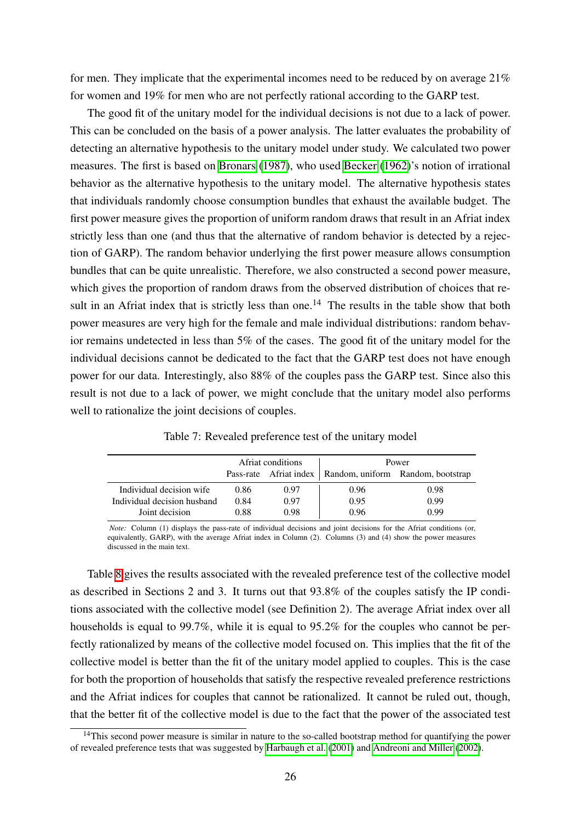for men. They implicate that the experimental incomes need to be reduced by on average 21% for women and 19% for men who are not perfectly rational according to the GARP test.

The good fit of the unitary model for the individual decisions is not due to a lack of power. This can be concluded on the basis of a power analysis. The latter evaluates the probability of detecting an alternative hypothesis to the unitary model under study. We calculated two power measures. The first is based on [Bronars](#page-38-10) [\(1987\)](#page-38-10), who used [Becker](#page-38-11) [\(1962\)](#page-38-11)'s notion of irrational behavior as the alternative hypothesis to the unitary model. The alternative hypothesis states that individuals randomly choose consumption bundles that exhaust the available budget. The first power measure gives the proportion of uniform random draws that result in an Afriat index strictly less than one (and thus that the alternative of random behavior is detected by a rejection of GARP). The random behavior underlying the first power measure allows consumption bundles that can be quite unrealistic. Therefore, we also constructed a second power measure, which gives the proportion of random draws from the observed distribution of choices that result in an Afriat index that is strictly less than one.<sup>14</sup> The results in the table show that both power measures are very high for the female and male individual distributions: random behavior remains undetected in less than 5% of the cases. The good fit of the unitary model for the individual decisions cannot be dedicated to the fact that the GARP test does not have enough power for our data. Interestingly, also 88% of the couples pass the GARP test. Since also this result is not due to a lack of power, we might conclude that the unitary model also performs well to rationalize the joint decisions of couples.

<span id="page-27-0"></span>

|                             |                                                            | Afriat conditions | Power |      |  |
|-----------------------------|------------------------------------------------------------|-------------------|-------|------|--|
|                             | Pass-rate Afriat index   Random, uniform Random, bootstrap |                   |       |      |  |
| Individual decision wife    | 0.86                                                       | 0.97              | 0.96  | 0.98 |  |
| Individual decision husband | 0.84                                                       | 0.97              | 0.95  | 0.99 |  |
| Joint decision              | 0.88                                                       | 0.98              | 0.96  | 0.99 |  |

Table 7: Revealed preference test of the unitary model

*Note:* Column (1) displays the pass-rate of individual decisions and joint decisions for the Afriat conditions (or, equivalently, GARP), with the average Afriat index in Column (2). Columns (3) and (4) show the power measures discussed in the main text.

Table  $\frac{1}{8}$  gives the results associated with the revealed preference test of the collective model as described in Sections 2 and 3. It turns out that 93.8% of the couples satisfy the IP conditions associated with the collective model (see Definition 2). The average Afriat index over all households is equal to 99.7%, while it is equal to 95.2% for the couples who cannot be perfectly rationalized by means of the collective model focused on. This implies that the fit of the collective model is better than the fit of the unitary model applied to couples. This is the case for both the proportion of households that satisfy the respective revealed preference restrictions and the Afriat indices for couples that cannot be rationalized. It cannot be ruled out, though, that the better fit of the collective model is due to the fact that the power of the associated test

<sup>&</sup>lt;sup>14</sup>This second power measure is similar in nature to the so-called bootstrap method for quantifying the power of revealed preference tests that was suggested by  $\boxed{\text{Harbaugh et al.} (2001)}$  $\boxed{\text{Harbaugh et al.} (2001)}$  $\boxed{\text{Harbaugh et al.} (2001)}$  and  $\boxed{\text{Andrew} (2002)}$  $\boxed{\text{Andrew} (2002)}$  $\boxed{\text{Andrew} (2002)}$ .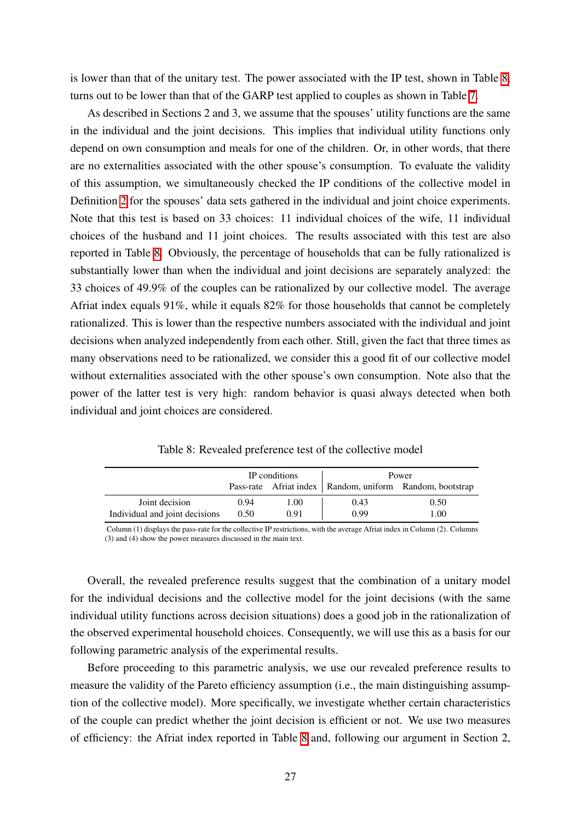is lower than that of the unitary test. The power associated with the IP test, shown in Table  $\sqrt{8}$ , turns out to be lower than that of the GARP test applied to couples as shown in Table  $\overline{7}$ .

As described in Sections 2 and 3, we assume that the spouses' utility functions are the same in the individual and the joint decisions. This implies that individual utility functions only depend on own consumption and meals for one of the children. Or, in other words, that there are no externalities associated with the other spouse's consumption. To evaluate the validity of this assumption, we simultaneously checked the IP conditions of the collective model in Definition  $\sqrt{2}$  for the spouses' data sets gathered in the individual and joint choice experiments. Note that this test is based on 33 choices: 11 individual choices of the wife, 11 individual choices of the husband and 11 joint choices. The results associated with this test are also reported in Table **8.** Obviously, the percentage of households that can be fully rationalized is substantially lower than when the individual and joint decisions are separately analyzed: the 33 choices of 49.9% of the couples can be rationalized by our collective model. The average Afriat index equals 91%, while it equals 82% for those households that cannot be completely rationalized. This is lower than the respective numbers associated with the individual and joint decisions when analyzed independently from each other. Still, given the fact that three times as many observations need to be rationalized, we consider this a good fit of our collective model without externalities associated with the other spouse's own consumption. Note also that the power of the latter test is very high: random behavior is quasi always detected when both individual and joint choices are considered.

Table 8: Revealed preference test of the collective model

<span id="page-28-0"></span>

|                                |      | IP conditions | Power |                                                             |  |
|--------------------------------|------|---------------|-------|-------------------------------------------------------------|--|
|                                |      |               |       | Pass-rate Africat index   Random, uniform Random, bootstrap |  |
| Joint decision                 | 0.94 | 1.00          | 0.43  | 0.50                                                        |  |
| Individual and joint decisions | 0.50 | 0.91          | 0.99  | 1.00                                                        |  |

Column (1) displays the pass-rate for the collective IP restrictions, with the average Afriat index in Column (2). Columns (3) and (4) show the power measures discussed in the main text.

Overall, the revealed preference results suggest that the combination of a unitary model for the individual decisions and the collective model for the joint decisions (with the same individual utility functions across decision situations) does a good job in the rationalization of the observed experimental household choices. Consequently, we will use this as a basis for our following parametric analysis of the experimental results.

Before proceeding to this parametric analysis, we use our revealed preference results to measure the validity of the Pareto efficiency assumption (i.e., the main distinguishing assumption of the collective model). More specifically, we investigate whether certain characteristics of the couple can predict whether the joint decision is efficient or not. We use two measures of efficiency: the Afriat index reported in Table  $\sqrt{8}$  and, following our argument in Section 2,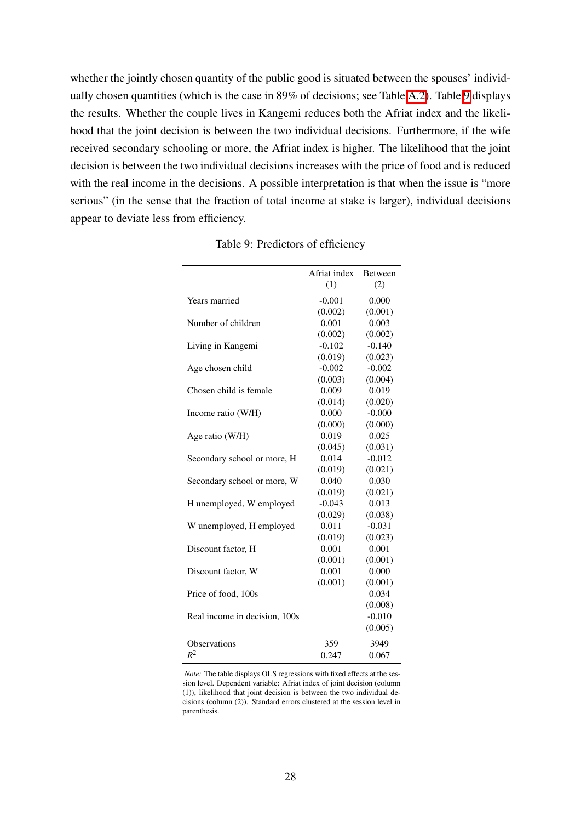whether the jointly chosen quantity of the public good is situated between the spouses' individually chosen quantities (which is the case in 89% of decisions; see Table  $\overline{A}$ . Table  $\overline{9}$  displays the results. Whether the couple lives in Kangemi reduces both the Afriat index and the likelihood that the joint decision is between the two individual decisions. Furthermore, if the wife received secondary schooling or more, the Afriat index is higher. The likelihood that the joint decision is between the two individual decisions increases with the price of food and is reduced with the real income in the decisions. A possible interpretation is that when the issue is "more serious" (in the sense that the fraction of total income at stake is larger), individual decisions appear to deviate less from efficiency.

<span id="page-29-0"></span>

| (1)<br>(2)<br>Years married<br>$-0.001$<br>0.000<br>(0.002)<br>(0.001)<br>0.001<br>0.003<br>Number of children<br>(0.002)<br>(0.002)<br>$-0.102$<br>$-0.140$<br>Living in Kangemi<br>(0.019)<br>(0.023)<br>$-0.002$<br>$-0.002$<br>Age chosen child<br>(0.003)<br>(0.004)<br>Chosen child is female<br>0.009<br>0.019<br>(0.014)<br>(0.020)<br>0.000<br>$-0.000$<br>Income ratio (W/H)<br>(0.000)<br>(0.000)<br>0.019<br>0.025<br>Age ratio (W/H)<br>(0.045)<br>(0.031)<br>0.014<br>$-0.012$<br>Secondary school or more, H<br>(0.019)<br>(0.021)<br>0.040<br>0.030<br>Secondary school or more, W<br>(0.019)<br>(0.021)<br>$-0.043$<br>0.013<br>H unemployed, W employed<br>(0.029)<br>(0.038)<br>0.011<br>$-0.031$<br>W unemployed, H employed<br>(0.019)<br>(0.023)<br>0.001<br>0.001<br>Discount factor, H<br>(0.001)<br>(0.001)<br>0.001<br>Discount factor, W<br>0.000<br>(0.001)<br>(0.001)<br>Price of food, 100s<br>0.034<br>(0.008)<br>$-0.010$<br>Real income in decision, 100s<br>(0.005)<br>Observations<br>359<br>3949<br>$R^2$<br>0.067<br>0.247 |              |                |
|-----------------------------------------------------------------------------------------------------------------------------------------------------------------------------------------------------------------------------------------------------------------------------------------------------------------------------------------------------------------------------------------------------------------------------------------------------------------------------------------------------------------------------------------------------------------------------------------------------------------------------------------------------------------------------------------------------------------------------------------------------------------------------------------------------------------------------------------------------------------------------------------------------------------------------------------------------------------------------------------------------------------------------------------------------------------|--------------|----------------|
|                                                                                                                                                                                                                                                                                                                                                                                                                                                                                                                                                                                                                                                                                                                                                                                                                                                                                                                                                                                                                                                                 | Afriat index | <b>Between</b> |
|                                                                                                                                                                                                                                                                                                                                                                                                                                                                                                                                                                                                                                                                                                                                                                                                                                                                                                                                                                                                                                                                 |              |                |
|                                                                                                                                                                                                                                                                                                                                                                                                                                                                                                                                                                                                                                                                                                                                                                                                                                                                                                                                                                                                                                                                 |              |                |
|                                                                                                                                                                                                                                                                                                                                                                                                                                                                                                                                                                                                                                                                                                                                                                                                                                                                                                                                                                                                                                                                 |              |                |
|                                                                                                                                                                                                                                                                                                                                                                                                                                                                                                                                                                                                                                                                                                                                                                                                                                                                                                                                                                                                                                                                 |              |                |
|                                                                                                                                                                                                                                                                                                                                                                                                                                                                                                                                                                                                                                                                                                                                                                                                                                                                                                                                                                                                                                                                 |              |                |
|                                                                                                                                                                                                                                                                                                                                                                                                                                                                                                                                                                                                                                                                                                                                                                                                                                                                                                                                                                                                                                                                 |              |                |
|                                                                                                                                                                                                                                                                                                                                                                                                                                                                                                                                                                                                                                                                                                                                                                                                                                                                                                                                                                                                                                                                 |              |                |
|                                                                                                                                                                                                                                                                                                                                                                                                                                                                                                                                                                                                                                                                                                                                                                                                                                                                                                                                                                                                                                                                 |              |                |
|                                                                                                                                                                                                                                                                                                                                                                                                                                                                                                                                                                                                                                                                                                                                                                                                                                                                                                                                                                                                                                                                 |              |                |
|                                                                                                                                                                                                                                                                                                                                                                                                                                                                                                                                                                                                                                                                                                                                                                                                                                                                                                                                                                                                                                                                 |              |                |
|                                                                                                                                                                                                                                                                                                                                                                                                                                                                                                                                                                                                                                                                                                                                                                                                                                                                                                                                                                                                                                                                 |              |                |
|                                                                                                                                                                                                                                                                                                                                                                                                                                                                                                                                                                                                                                                                                                                                                                                                                                                                                                                                                                                                                                                                 |              |                |
|                                                                                                                                                                                                                                                                                                                                                                                                                                                                                                                                                                                                                                                                                                                                                                                                                                                                                                                                                                                                                                                                 |              |                |
|                                                                                                                                                                                                                                                                                                                                                                                                                                                                                                                                                                                                                                                                                                                                                                                                                                                                                                                                                                                                                                                                 |              |                |
|                                                                                                                                                                                                                                                                                                                                                                                                                                                                                                                                                                                                                                                                                                                                                                                                                                                                                                                                                                                                                                                                 |              |                |
|                                                                                                                                                                                                                                                                                                                                                                                                                                                                                                                                                                                                                                                                                                                                                                                                                                                                                                                                                                                                                                                                 |              |                |
|                                                                                                                                                                                                                                                                                                                                                                                                                                                                                                                                                                                                                                                                                                                                                                                                                                                                                                                                                                                                                                                                 |              |                |
|                                                                                                                                                                                                                                                                                                                                                                                                                                                                                                                                                                                                                                                                                                                                                                                                                                                                                                                                                                                                                                                                 |              |                |
|                                                                                                                                                                                                                                                                                                                                                                                                                                                                                                                                                                                                                                                                                                                                                                                                                                                                                                                                                                                                                                                                 |              |                |
|                                                                                                                                                                                                                                                                                                                                                                                                                                                                                                                                                                                                                                                                                                                                                                                                                                                                                                                                                                                                                                                                 |              |                |
|                                                                                                                                                                                                                                                                                                                                                                                                                                                                                                                                                                                                                                                                                                                                                                                                                                                                                                                                                                                                                                                                 |              |                |
|                                                                                                                                                                                                                                                                                                                                                                                                                                                                                                                                                                                                                                                                                                                                                                                                                                                                                                                                                                                                                                                                 |              |                |
|                                                                                                                                                                                                                                                                                                                                                                                                                                                                                                                                                                                                                                                                                                                                                                                                                                                                                                                                                                                                                                                                 |              |                |
|                                                                                                                                                                                                                                                                                                                                                                                                                                                                                                                                                                                                                                                                                                                                                                                                                                                                                                                                                                                                                                                                 |              |                |
|                                                                                                                                                                                                                                                                                                                                                                                                                                                                                                                                                                                                                                                                                                                                                                                                                                                                                                                                                                                                                                                                 |              |                |
|                                                                                                                                                                                                                                                                                                                                                                                                                                                                                                                                                                                                                                                                                                                                                                                                                                                                                                                                                                                                                                                                 |              |                |
|                                                                                                                                                                                                                                                                                                                                                                                                                                                                                                                                                                                                                                                                                                                                                                                                                                                                                                                                                                                                                                                                 |              |                |
|                                                                                                                                                                                                                                                                                                                                                                                                                                                                                                                                                                                                                                                                                                                                                                                                                                                                                                                                                                                                                                                                 |              |                |
|                                                                                                                                                                                                                                                                                                                                                                                                                                                                                                                                                                                                                                                                                                                                                                                                                                                                                                                                                                                                                                                                 |              |                |
|                                                                                                                                                                                                                                                                                                                                                                                                                                                                                                                                                                                                                                                                                                                                                                                                                                                                                                                                                                                                                                                                 |              |                |
|                                                                                                                                                                                                                                                                                                                                                                                                                                                                                                                                                                                                                                                                                                                                                                                                                                                                                                                                                                                                                                                                 |              |                |
|                                                                                                                                                                                                                                                                                                                                                                                                                                                                                                                                                                                                                                                                                                                                                                                                                                                                                                                                                                                                                                                                 |              |                |
|                                                                                                                                                                                                                                                                                                                                                                                                                                                                                                                                                                                                                                                                                                                                                                                                                                                                                                                                                                                                                                                                 |              |                |

Table 9: Predictors of efficiency

*Note:* The table displays OLS regressions with fixed effects at the session level. Dependent variable: Afriat index of joint decision (column (1)), likelihood that joint decision is between the two individual decisions (column (2)). Standard errors clustered at the session level in parenthesis.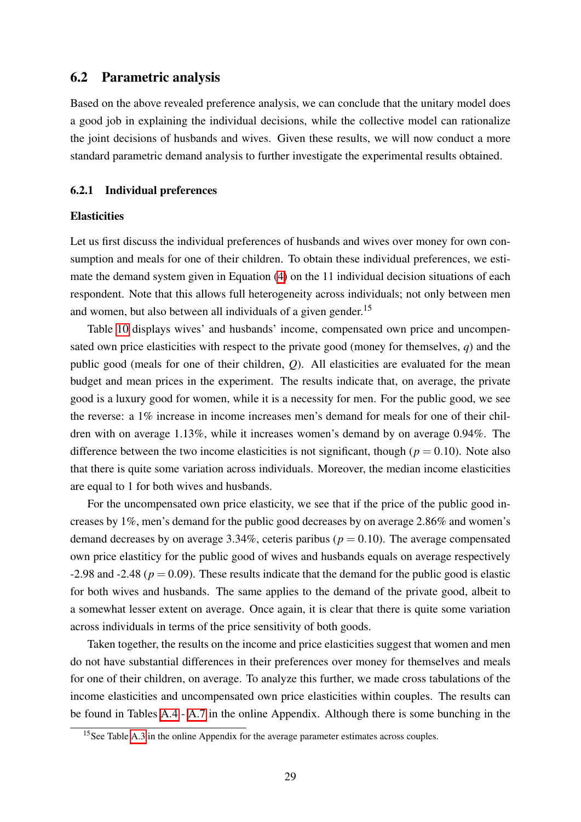## 6.2 Parametric analysis

Based on the above revealed preference analysis, we can conclude that the unitary model does a good job in explaining the individual decisions, while the collective model can rationalize the joint decisions of husbands and wives. Given these results, we will now conduct a more standard parametric demand analysis to further investigate the experimental results obtained.

#### 6.2.1 Individual preferences

#### **Elasticities**

Let us first discuss the individual preferences of husbands and wives over money for own consumption and meals for one of their children. To obtain these individual preferences, we estimate the demand system given in Equation  $\langle 4 \rangle$  on the 11 individual decision situations of each respondent. Note that this allows full heterogeneity across individuals; not only between men and women, but also between all individuals of a given gender.<sup>15</sup>

Table  $\overline{10}$  displays wives' and husbands' income, compensated own price and uncompensated own price elasticities with respect to the private good (money for themselves, *q*) and the public good (meals for one of their children, *Q*). All elasticities are evaluated for the mean budget and mean prices in the experiment. The results indicate that, on average, the private good is a luxury good for women, while it is a necessity for men. For the public good, we see the reverse: a 1% increase in income increases men's demand for meals for one of their children with on average 1.13%, while it increases women's demand by on average 0.94%. The difference between the two income elasticities is not significant, though ( $p = 0.10$ ). Note also that there is quite some variation across individuals. Moreover, the median income elasticities are equal to 1 for both wives and husbands.

For the uncompensated own price elasticity, we see that if the price of the public good increases by 1%, men's demand for the public good decreases by on average 2.86% and women's demand decreases by on average  $3.34\%$ , ceteris paribus ( $p = 0.10$ ). The average compensated own price elastiticy for the public good of wives and husbands equals on average respectively  $-2.98$  and  $-2.48$  ( $p = 0.09$ ). These results indicate that the demand for the public good is elastic for both wives and husbands. The same applies to the demand of the private good, albeit to a somewhat lesser extent on average. Once again, it is clear that there is quite some variation across individuals in terms of the price sensitivity of both goods.

Taken together, the results on the income and price elasticities suggest that women and men do not have substantial differences in their preferences over money for themselves and meals for one of their children, on average. To analyze this further, we made cross tabulations of the income elasticities and uncompensated own price elasticities within couples. The results can be found in Tables  $\overline{A.A}$  -  $\overline{A.7}$  in the online Appendix. Although there is some bunching in the

<sup>&</sup>lt;sup>15</sup>See Table  $\overline{A.3}$  in the online Appendix for the average parameter estimates across couples.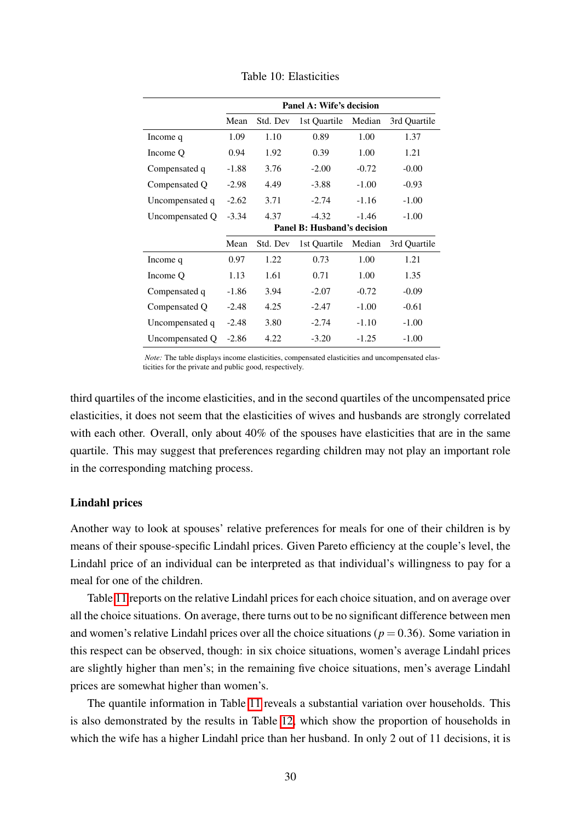<span id="page-31-0"></span>

|                 | Panel A: Wife's decision |          |                             |         |              |  |  |
|-----------------|--------------------------|----------|-----------------------------|---------|--------------|--|--|
|                 | Mean                     | Std. Dev | 1st Quartile                | Median  | 3rd Quartile |  |  |
| Income q        | 1.09                     | 1.10     | 0.89                        | 1.00    | 1.37         |  |  |
| Income Q        | 0.94                     | 1.92     | 0.39                        | 1.00    | 1.21         |  |  |
| Compensated q   | $-1.88$                  | 3.76     | $-2.00$                     | $-0.72$ | $-0.00$      |  |  |
| Compensated Q   | $-2.98$                  | 4.49     | $-3.88$                     | $-1.00$ | $-0.93$      |  |  |
| Uncompensated q | $-2.62$                  | 3.71     | $-2.74$                     | $-1.16$ | $-1.00$      |  |  |
| Uncompensated Q | $-3.34$                  | 4.37     | $-4.32$                     | $-1.46$ | $-1.00$      |  |  |
|                 |                          |          | Panel B: Husband's decision |         |              |  |  |
|                 | Mean                     | Std. Dev | 1st Quartile                | Median  | 3rd Quartile |  |  |
| Income q        | 0.97                     | 1.22     | 0.73                        | 1.00    | 1.21         |  |  |
| Income Q        | 1.13                     | 1.61     | 0.71                        | 1.00    | 1.35         |  |  |
| Compensated q   | $-1.86$                  | 3.94     | $-2.07$                     | $-0.72$ | $-0.09$      |  |  |
| Compensated Q   | $-2.48$                  | 4.25     | $-2.47$                     | $-1.00$ | $-0.61$      |  |  |
| Uncompensated q | $-2.48$                  | 3.80     | $-2.74$                     | $-1.10$ | $-1.00$      |  |  |
| Uncompensated Q | $-2.86$                  | 4.22     | $-3.20$                     | $-1.25$ | $-1.00$      |  |  |

Table 10: Elasticities

*Note:* The table displays income elasticities, compensated elasticities and uncompensated elasticities for the private and public good, respectively.

third quartiles of the income elasticities, and in the second quartiles of the uncompensated price elasticities, it does not seem that the elasticities of wives and husbands are strongly correlated with each other. Overall, only about 40% of the spouses have elasticities that are in the same quartile. This may suggest that preferences regarding children may not play an important role in the corresponding matching process.

#### Lindahl prices

Another way to look at spouses' relative preferences for meals for one of their children is by means of their spouse-specific Lindahl prices. Given Pareto efficiency at the couple's level, the Lindahl price of an individual can be interpreted as that individual's willingness to pay for a meal for one of the children.

Table  $\pi$  reports on the relative Lindahl prices for each choice situation, and on average over all the choice situations. On average, there turns out to be no significant difference between men and women's relative Lindahl prices over all the choice situations ( $p = 0.36$ ). Some variation in this respect can be observed, though: in six choice situations, women's average Lindahl prices are slightly higher than men's; in the remaining five choice situations, men's average Lindahl prices are somewhat higher than women's.

The quantile information in Table  $\boxed{11}$  reveals a substantial variation over households. This is also demonstrated by the results in Table  $\overline{12}$ , which show the proportion of households in which the wife has a higher Lindahl price than her husband. In only 2 out of 11 decisions, it is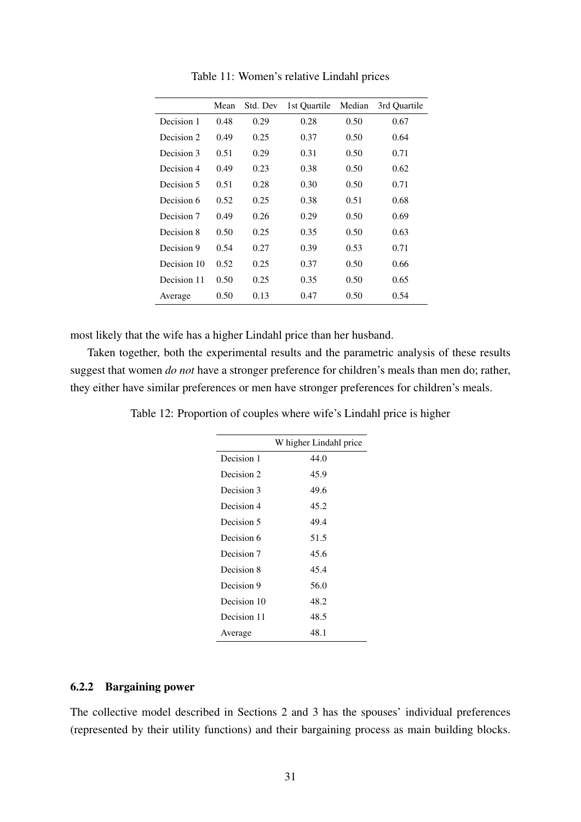<span id="page-32-0"></span>

|             | Mean | Std. Dev | 1st Quartile | Median | 3rd Quartile |
|-------------|------|----------|--------------|--------|--------------|
| Decision 1  | 0.48 | 0.29     | 0.28         | 0.50   | 0.67         |
| Decision 2  | 0.49 | 0.25     | 0.37         | 0.50   | 0.64         |
| Decision 3  | 0.51 | 0.29     | 0.31         | 0.50   | 0.71         |
| Decision 4  | 0.49 | 0.23     | 0.38         | 0.50   | 0.62         |
| Decision 5  | 0.51 | 0.28     | 0.30         | 0.50   | 0.71         |
| Decision 6  | 0.52 | 0.25     | 0.38         | 0.51   | 0.68         |
| Decision 7  | 0.49 | 0.26     | 0.29         | 0.50   | 0.69         |
| Decision 8  | 0.50 | 0.25     | 0.35         | 0.50   | 0.63         |
| Decision 9  | 0.54 | 0.27     | 0.39         | 0.53   | 0.71         |
| Decision 10 | 0.52 | 0.25     | 0.37         | 0.50   | 0.66         |
| Decision 11 | 0.50 | 0.25     | 0.35         | 0.50   | 0.65         |
| Average     | 0.50 | 0.13     | 0.47         | 0.50   | 0.54         |

Table 11: Women's relative Lindahl prices

most likely that the wife has a higher Lindahl price than her husband.

Taken together, both the experimental results and the parametric analysis of these results suggest that women *do not* have a stronger preference for children's meals than men do; rather, they either have similar preferences or men have stronger preferences for children's meals.

<span id="page-32-1"></span>Table 12: Proportion of couples where wife's Lindahl price is higher

|             | W higher Lindahl price |
|-------------|------------------------|
| Decision 1  | 44.0                   |
| Decision 2  | 45.9                   |
| Decision 3  | 49.6                   |
| Decision 4  | 45.2                   |
| Decision 5  | 49.4                   |
| Decision 6  | 51.5                   |
| Decision 7  | 45.6                   |
| Decision 8  | 45.4                   |
| Decision 9  | 56.0                   |
| Decision 10 | 48.2                   |
| Decision 11 | 48.5                   |
| Average     | 48.1                   |

### 6.2.2 Bargaining power

The collective model described in Sections 2 and 3 has the spouses' individual preferences (represented by their utility functions) and their bargaining process as main building blocks.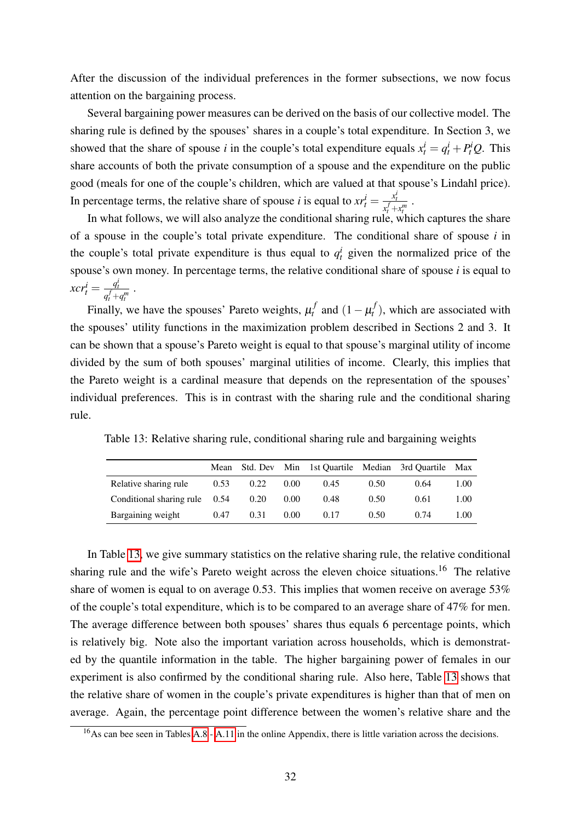After the discussion of the individual preferences in the former subsections, we now focus attention on the bargaining process.

Several bargaining power measures can be derived on the basis of our collective model. The sharing rule is defined by the spouses' shares in a couple's total expenditure. In Section 3, we showed that the share of spouse *i* in the couple's total expenditure equals  $x_t^i = q_t^i + P_t^i Q$ . This share accounts of both the private consumption of a spouse and the expenditure on the public good (meals for one of the couple's children, which are valued at that spouse's Lindahl price). In percentage terms, the relative share of spouse *i* is equal to  $xr_t^i = \frac{x_t^i}{x_t^f + x_t^m}$ .

In what follows, we will also analyze the conditional sharing rule, which captures the share of a spouse in the couple's total private expenditure. The conditional share of spouse *i* in the couple's total private expenditure is thus equal to  $q_t^i$  given the normalized price of the spouse's own money. In percentage terms, the relative conditional share of spouse *i* is equal to  $xcr_t^i = \frac{q_t^i}{q_t^f + q_t^m}$ .

Finally, we have the spouses' Pareto weights,  $\mu_t^f$  and  $(1 - \mu_t^f)$ , which are associated with the spouses' utility functions in the maximization problem described in Sections 2 and 3. It can be shown that a spouse's Pareto weight is equal to that spouse's marginal utility of income divided by the sum of both spouses' marginal utilities of income. Clearly, this implies that the Pareto weight is a cardinal measure that depends on the representation of the spouses' individual preferences. This is in contrast with the sharing rule and the conditional sharing rule.

Table 13: Relative sharing rule, conditional sharing rule and bargaining weights

<span id="page-33-0"></span>

|                                 | Mean | Std. Dev |      | Min 1st Quartile Median 3rd Quartile |      |      | Max  |
|---------------------------------|------|----------|------|--------------------------------------|------|------|------|
| Relative sharing rule           | 0.53 | 0.22     | 0.00 | 0.45                                 | 0.50 | 0.64 | 1.00 |
| Conditional sharing rule $0.54$ |      | 0.20     | 0.00 | 0.48                                 | 0.50 | 0.61 | 1.00 |
| Bargaining weight               | 0.47 | 0.31     | 0.00 | 0.17                                 | 0.50 | 0.74 | 1.00 |

In Table  $\overline{13}$ , we give summary statistics on the relative sharing rule, the relative conditional sharing rule and the wife's Pareto weight across the eleven choice situations.<sup>16</sup> The relative share of women is equal to on average 0.53. This implies that women receive on average 53% of the couple's total expenditure, which is to be compared to an average share of 47% for men. The average difference between both spouses' shares thus equals 6 percentage points, which is relatively big. Note also the important variation across households, which is demonstrated by the quantile information in the table. The higher bargaining power of females in our experiment is also confirmed by the conditional sharing rule. Also here, Table  $\overline{13}$  shows that the relative share of women in the couple's private expenditures is higher than that of men on average. Again, the percentage point difference between the women's relative share and the

<sup>&</sup>lt;sup>16</sup>As can bee seen in Tables  $\overline{A.8}$  -  $\overline{A.11}$  in the online Appendix, there is little variation across the decisions.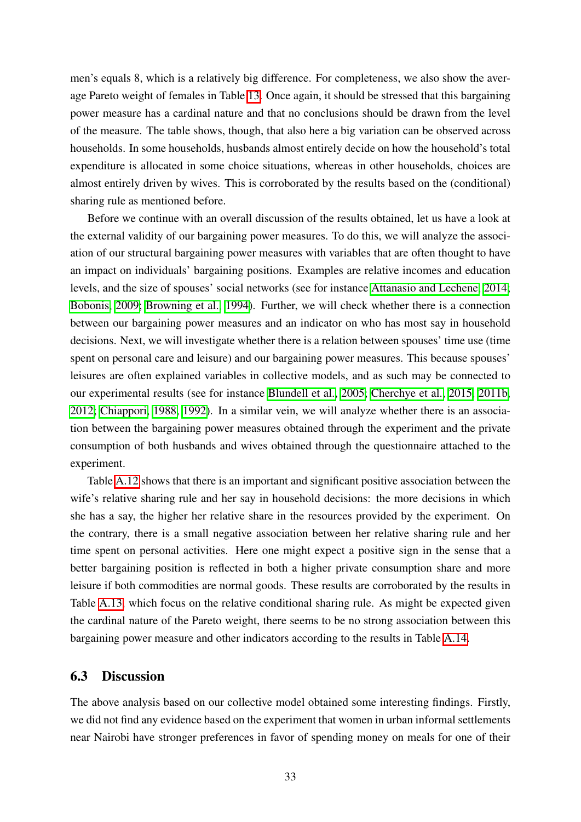men's equals 8, which is a relatively big difference. For completeness, we also show the average Pareto weight of females in Table <sup>13</sup>. Once again, it should be stressed that this bargaining power measure has a cardinal nature and that no conclusions should be drawn from the level of the measure. The table shows, though, that also here a big variation can be observed across households. In some households, husbands almost entirely decide on how the household's total expenditure is allocated in some choice situations, whereas in other households, choices are almost entirely driven by wives. This is corroborated by the results based on the (conditional) sharing rule as mentioned before.

Before we continue with an overall discussion of the results obtained, let us have a look at the external validity of our bargaining power measures. To do this, we will analyze the association of our structural bargaining power measures with variables that are often thought to have an impact on individuals' bargaining positions. Examples are relative incomes and education levels, and the size of spouses' social networks (see for instance [Attanasio and Lechene, 2014;](#page-37-1) [Bobonis, 2009;](#page-38-5) [Browning et al., 1994\)](#page-38-12). Further, we will check whether there is a connection between our bargaining power measures and an indicator on who has most say in household decisions. Next, we will investigate whether there is a relation between spouses' time use (time spent on personal care and leisure) and our bargaining power measures. This because spouses' leisures are often explained variables in collective models, and as such may be connected to our experimental results (see for instance [Blundell et al., 2005;](#page-38-0) [Cherchye et al., 2015,](#page-39-11) [2011b,](#page-39-2) [2012;](#page-39-3) [Chiappori, 1988,](#page-39-0) [1992\)](#page-40-0). In a similar vein, we will analyze whether there is an association between the bargaining power measures obtained through the experiment and the private consumption of both husbands and wives obtained through the questionnaire attached to the experiment.

Table  $\overline{A.12}$  shows that there is an important and significant positive association between the wife's relative sharing rule and her say in household decisions: the more decisions in which she has a say, the higher her relative share in the resources provided by the experiment. On the contrary, there is a small negative association between her relative sharing rule and her time spent on personal activities. Here one might expect a positive sign in the sense that a better bargaining position is reflected in both a higher private consumption share and more leisure if both commodities are normal goods. These results are corroborated by the results in Table  $\overline{A.13}$ , which focus on the relative conditional sharing rule. As might be expected given the cardinal nature of the Pareto weight, there seems to be no strong association between this bargaining power measure and other indicators according to the results in Table  $\overline{A.14}$ .

#### 6.3 Discussion

The above analysis based on our collective model obtained some interesting findings. Firstly, we did not find any evidence based on the experiment that women in urban informal settlements near Nairobi have stronger preferences in favor of spending money on meals for one of their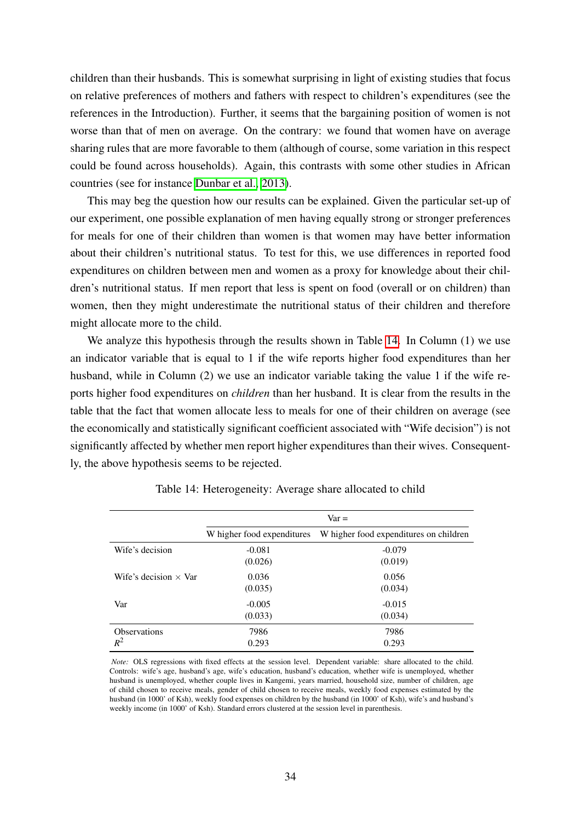children than their husbands. This is somewhat surprising in light of existing studies that focus on relative preferences of mothers and fathers with respect to children's expenditures (see the references in the Introduction). Further, it seems that the bargaining position of women is not worse than that of men on average. On the contrary: we found that women have on average sharing rules that are more favorable to them (although of course, some variation in this respect could be found across households). Again, this contrasts with some other studies in African countries (see for instance [Dunbar et al., 2013\)](#page-40-5).

This may beg the question how our results can be explained. Given the particular set-up of our experiment, one possible explanation of men having equally strong or stronger preferences for meals for one of their children than women is that women may have better information about their children's nutritional status. To test for this, we use differences in reported food expenditures on children between men and women as a proxy for knowledge about their children's nutritional status. If men report that less is spent on food (overall or on children) than women, then they might underestimate the nutritional status of their children and therefore might allocate more to the child.

We analyze this hypothesis through the results shown in Table  $\overline{14}$ . In Column (1) we use an indicator variable that is equal to 1 if the wife reports higher food expenditures than her husband, while in Column (2) we use an indicator variable taking the value 1 if the wife reports higher food expenditures on *children* than her husband. It is clear from the results in the table that the fact that women allocate less to meals for one of their children on average (see the economically and statistically significant coefficient associated with "Wife decision") is not significantly affected by whether men report higher expenditures than their wives. Consequently, the above hypothesis seems to be rejected.

<span id="page-35-0"></span>

|                              | $Var =$                    |                                        |  |
|------------------------------|----------------------------|----------------------------------------|--|
|                              | W higher food expenditures | W higher food expenditures on children |  |
| Wife's decision              | $-0.081$                   | $-0.079$                               |  |
|                              | (0.026)                    | (0.019)                                |  |
| Wife's decision $\times$ Var | 0.036                      | 0.056                                  |  |
|                              | (0.035)                    | (0.034)                                |  |
| Var                          | $-0.005$                   | $-0.015$                               |  |
|                              | (0.033)                    | (0.034)                                |  |
| <b>Observations</b>          | 7986                       | 7986                                   |  |
| $R^2$                        | 0.293                      | 0.293                                  |  |

Table 14: Heterogeneity: Average share allocated to child

*Note:* OLS regressions with fixed effects at the session level. Dependent variable: share allocated to the child. Controls: wife's age, husband's age, wife's education, husband's education, whether wife is unemployed, whether husband is unemployed, whether couple lives in Kangemi, years married, household size, number of children, age of child chosen to receive meals, gender of child chosen to receive meals, weekly food expenses estimated by the husband (in 1000' of Ksh), weekly food expenses on children by the husband (in 1000' of Ksh), wife's and husband's weekly income (in 1000' of Ksh). Standard errors clustered at the session level in parenthesis.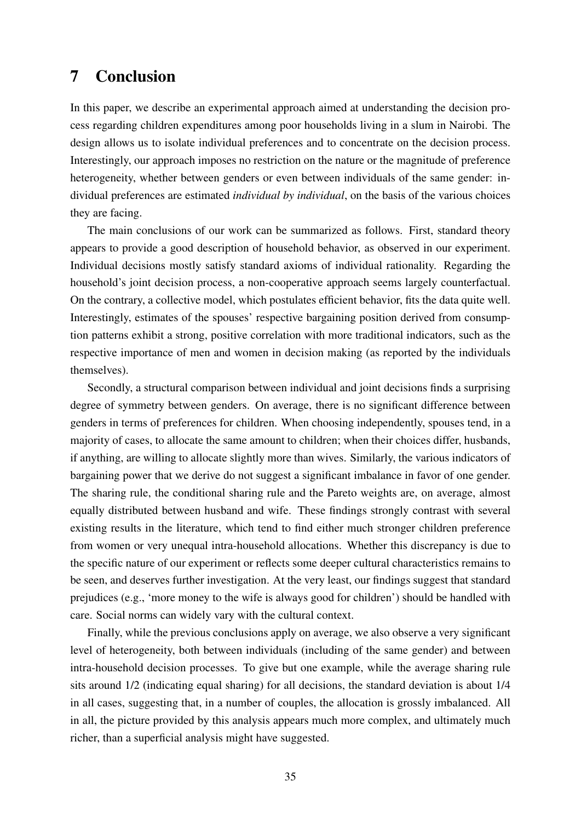# 7 Conclusion

In this paper, we describe an experimental approach aimed at understanding the decision process regarding children expenditures among poor households living in a slum in Nairobi. The design allows us to isolate individual preferences and to concentrate on the decision process. Interestingly, our approach imposes no restriction on the nature or the magnitude of preference heterogeneity, whether between genders or even between individuals of the same gender: individual preferences are estimated *individual by individual*, on the basis of the various choices they are facing.

The main conclusions of our work can be summarized as follows. First, standard theory appears to provide a good description of household behavior, as observed in our experiment. Individual decisions mostly satisfy standard axioms of individual rationality. Regarding the household's joint decision process, a non-cooperative approach seems largely counterfactual. On the contrary, a collective model, which postulates efficient behavior, fits the data quite well. Interestingly, estimates of the spouses' respective bargaining position derived from consumption patterns exhibit a strong, positive correlation with more traditional indicators, such as the respective importance of men and women in decision making (as reported by the individuals themselves).

Secondly, a structural comparison between individual and joint decisions finds a surprising degree of symmetry between genders. On average, there is no significant difference between genders in terms of preferences for children. When choosing independently, spouses tend, in a majority of cases, to allocate the same amount to children; when their choices differ, husbands, if anything, are willing to allocate slightly more than wives. Similarly, the various indicators of bargaining power that we derive do not suggest a significant imbalance in favor of one gender. The sharing rule, the conditional sharing rule and the Pareto weights are, on average, almost equally distributed between husband and wife. These findings strongly contrast with several existing results in the literature, which tend to find either much stronger children preference from women or very unequal intra-household allocations. Whether this discrepancy is due to the specific nature of our experiment or reflects some deeper cultural characteristics remains to be seen, and deserves further investigation. At the very least, our findings suggest that standard prejudices (e.g., 'more money to the wife is always good for children') should be handled with care. Social norms can widely vary with the cultural context.

Finally, while the previous conclusions apply on average, we also observe a very significant level of heterogeneity, both between individuals (including of the same gender) and between intra-household decision processes. To give but one example, while the average sharing rule sits around 1/2 (indicating equal sharing) for all decisions, the standard deviation is about 1/4 in all cases, suggesting that, in a number of couples, the allocation is grossly imbalanced. All in all, the picture provided by this analysis appears much more complex, and ultimately much richer, than a superficial analysis might have suggested.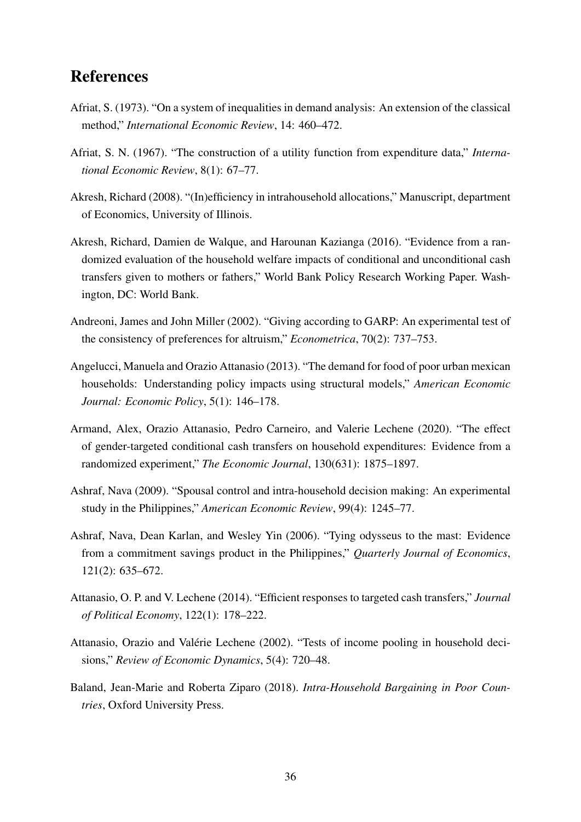# References

- <span id="page-37-8"></span>Afriat, S. (1973). "On a system of inequalities in demand analysis: An extension of the classical method," *International Economic Review*, 14: 460–472.
- <span id="page-37-7"></span>Afriat, S. N. (1967). "The construction of a utility function from expenditure data," *International Economic Review*, 8(1): 67–77.
- <span id="page-37-6"></span>Akresh, Richard (2008). "(In)efficiency in intrahousehold allocations," Manuscript, department of Economics, University of Illinois.
- <span id="page-37-4"></span>Akresh, Richard, Damien de Walque, and Harounan Kazianga (2016). "Evidence from a randomized evaluation of the household welfare impacts of conditional and unconditional cash transfers given to mothers or fathers," World Bank Policy Research Working Paper. Washington, DC: World Bank.
- <span id="page-37-11"></span>Andreoni, James and John Miller (2002). "Giving according to GARP: An experimental test of the consistency of preferences for altruism," *Econometrica*, 70(2): 737–753.
- <span id="page-37-2"></span>Angelucci, Manuela and Orazio Attanasio (2013). "The demand for food of poor urban mexican households: Understanding policy impacts using structural models," *American Economic Journal: Economic Policy*, 5(1): 146–178.
- <span id="page-37-5"></span>Armand, Alex, Orazio Attanasio, Pedro Carneiro, and Valerie Lechene (2020). "The effect of gender-targeted conditional cash transfers on household expenditures: Evidence from a randomized experiment," *The Economic Journal*, 130(631): 1875–1897.
- <span id="page-37-10"></span>Ashraf, Nava (2009). "Spousal control and intra-household decision making: An experimental study in the Philippines," *American Economic Review*, 99(4): 1245–77.
- <span id="page-37-9"></span>Ashraf, Nava, Dean Karlan, and Wesley Yin (2006). "Tying odysseus to the mast: Evidence from a commitment savings product in the Philippines," *Quarterly Journal of Economics*, 121(2): 635–672.
- <span id="page-37-1"></span>Attanasio, O. P. and V. Lechene (2014). "Efficient responses to targeted cash transfers," *Journal of Political Economy*, 122(1): 178–222.
- <span id="page-37-3"></span>Attanasio, Orazio and Valérie Lechene (2002). "Tests of income pooling in household decisions," *Review of Economic Dynamics*, 5(4): 720–48.
- <span id="page-37-0"></span>Baland, Jean-Marie and Roberta Ziparo (2018). *Intra-Household Bargaining in Poor Countries*, Oxford University Press.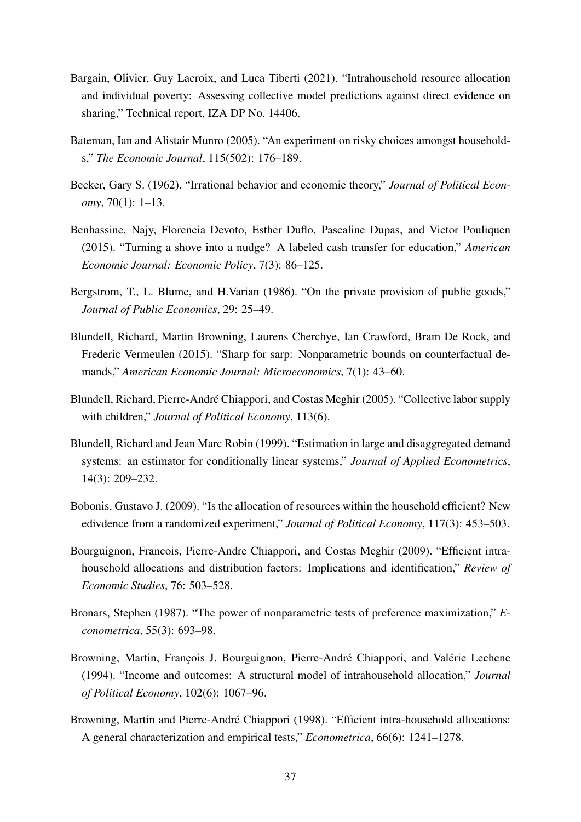- <span id="page-38-4"></span>Bargain, Olivier, Guy Lacroix, and Luca Tiberti (2021). "Intrahousehold resource allocation and individual poverty: Assessing collective model predictions against direct evidence on sharing," Technical report, IZA DP No. 14406.
- <span id="page-38-7"></span>Bateman, Ian and Alistair Munro (2005). "An experiment on risky choices amongst households," *The Economic Journal*, 115(502): 176–189.
- <span id="page-38-11"></span>Becker, Gary S. (1962). "Irrational behavior and economic theory," *Journal of Political Economy*, 70(1): 1–13.
- <span id="page-38-6"></span>Benhassine, Najy, Florencia Devoto, Esther Duflo, Pascaline Dupas, and Victor Pouliquen (2015). "Turning a shove into a nudge? A labeled cash transfer for education," *American Economic Journal: Economic Policy*, 7(3): 86–125.
- <span id="page-38-3"></span>Bergstrom, T., L. Blume, and H.Varian (1986). "On the private provision of public goods," *Journal of Public Economics*, 29: 25–49.
- <span id="page-38-8"></span>Blundell, Richard, Martin Browning, Laurens Cherchye, Ian Crawford, Bram De Rock, and Frederic Vermeulen (2015). "Sharp for sarp: Nonparametric bounds on counterfactual demands," *American Economic Journal: Microeconomics*, 7(1): 43–60.
- <span id="page-38-0"></span>Blundell, Richard, Pierre-Andre Chiappori, and Costas Meghir (2005). "Collective labor supply ´ with children," *Journal of Political Economy*, 113(6).
- <span id="page-38-9"></span>Blundell, Richard and Jean Marc Robin (1999). "Estimation in large and disaggregated demand systems: an estimator for conditionally linear systems," *Journal of Applied Econometrics*, 14(3): 209–232.
- <span id="page-38-5"></span>Bobonis, Gustavo J. (2009). "Is the allocation of resources within the household efficient? New edivdence from a randomized experiment," *Journal of Political Economy*, 117(3): 453–503.
- <span id="page-38-1"></span>Bourguignon, Francois, Pierre-Andre Chiappori, and Costas Meghir (2009). "Efficient intrahousehold allocations and distribution factors: Implications and identification," *Review of Economic Studies*, 76: 503–528.
- <span id="page-38-10"></span>Bronars, Stephen (1987). "The power of nonparametric tests of preference maximization," *Econometrica*, 55(3): 693–98.
- <span id="page-38-12"></span>Browning, Martin, François J. Bourguignon, Pierre-André Chiappori, and Valérie Lechene (1994). "Income and outcomes: A structural model of intrahousehold allocation," *Journal of Political Economy*, 102(6): 1067–96.
- <span id="page-38-2"></span>Browning, Martin and Pierre-André Chiappori (1998). "Efficient intra-household allocations: A general characterization and empirical tests," *Econometrica*, 66(6): 1241–1278.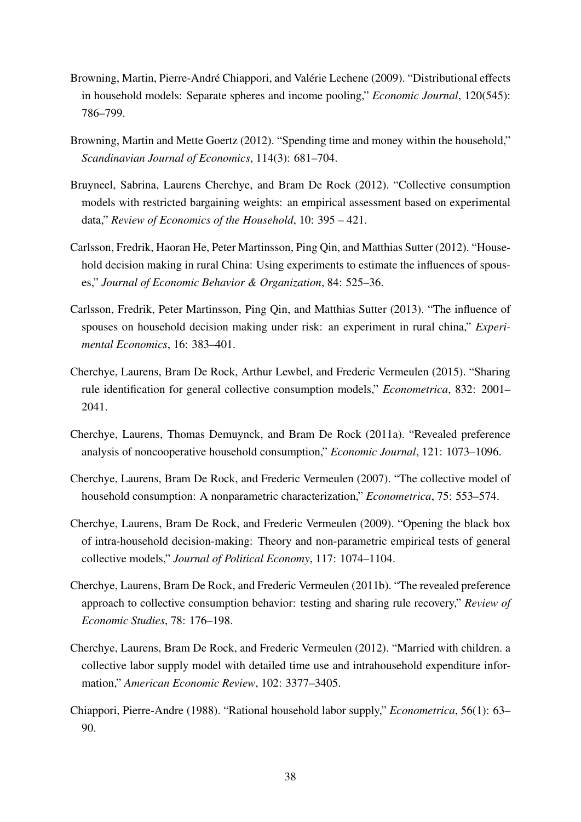- <span id="page-39-4"></span>Browning, Martin, Pierre-André Chiappori, and Valérie Lechene (2009). "Distributional effects in household models: Separate spheres and income pooling," *Economic Journal*, 120(545): 786–799.
- <span id="page-39-5"></span>Browning, Martin and Mette Goertz (2012). "Spending time and money within the household," *Scandinavian Journal of Economics*, 114(3): 681–704.
- <span id="page-39-10"></span>Bruyneel, Sabrina, Laurens Cherchye, and Bram De Rock (2012). "Collective consumption models with restricted bargaining weights: an empirical assessment based on experimental data," *Review of Economics of the Household*, 10: 395 – 421.
- <span id="page-39-6"></span>Carlsson, Fredrik, Haoran He, Peter Martinsson, Ping Qin, and Matthias Sutter (2012). "Household decision making in rural China: Using experiments to estimate the influences of spouses," *Journal of Economic Behavior & Organization*, 84: 525–36.
- <span id="page-39-7"></span>Carlsson, Fredrik, Peter Martinsson, Ping Qin, and Matthias Sutter (2013). "The influence of spouses on household decision making under risk: an experiment in rural china," *Experimental Economics*, 16: 383–401.
- <span id="page-39-11"></span>Cherchye, Laurens, Bram De Rock, Arthur Lewbel, and Frederic Vermeulen (2015). "Sharing rule identification for general collective consumption models," *Econometrica*, 832: 2001– 2041.
- <span id="page-39-9"></span>Cherchye, Laurens, Thomas Demuynck, and Bram De Rock (2011a). "Revealed preference analysis of noncooperative household consumption," *Economic Journal*, 121: 1073–1096.
- <span id="page-39-1"></span>Cherchye, Laurens, Bram De Rock, and Frederic Vermeulen (2007). "The collective model of household consumption: A nonparametric characterization," *Econometrica*, 75: 553–574.
- <span id="page-39-8"></span>Cherchye, Laurens, Bram De Rock, and Frederic Vermeulen (2009). "Opening the black box of intra-household decision-making: Theory and non-parametric empirical tests of general collective models," *Journal of Political Economy*, 117: 1074–1104.
- <span id="page-39-2"></span>Cherchye, Laurens, Bram De Rock, and Frederic Vermeulen (2011b). "The revealed preference approach to collective consumption behavior: testing and sharing rule recovery," *Review of Economic Studies*, 78: 176–198.
- <span id="page-39-3"></span>Cherchye, Laurens, Bram De Rock, and Frederic Vermeulen (2012). "Married with children. a collective labor supply model with detailed time use and intrahousehold expenditure information," *American Economic Review*, 102: 3377–3405.
- <span id="page-39-0"></span>Chiappori, Pierre-Andre (1988). "Rational household labor supply," *Econometrica*, 56(1): 63– 90.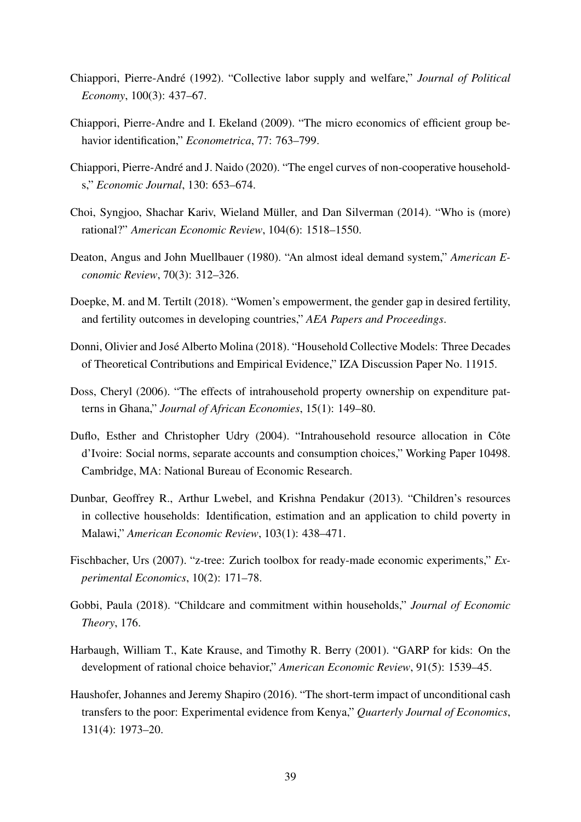- <span id="page-40-0"></span>Chiappori, Pierre-Andre (1992). "Collective labor supply and welfare," ´ *Journal of Political Economy*, 100(3): 437–67.
- <span id="page-40-1"></span>Chiappori, Pierre-Andre and I. Ekeland (2009). "The micro economics of efficient group behavior identification," *Econometrica*, 77: 763–799.
- <span id="page-40-10"></span>Chiappori, Pierre-André and J. Naido (2020). "The engel curves of non-cooperative households," *Economic Journal*, 130: 653–674.
- <span id="page-40-11"></span>Choi, Syngjoo, Shachar Kariv, Wieland Müller, and Dan Silverman (2014). "Who is (more) rational?" *American Economic Review*, 104(6): 1518–1550.
- <span id="page-40-12"></span>Deaton, Angus and John Muellbauer (1980). "An almost ideal demand system," *American Economic Review*, 70(3): 312–326.
- <span id="page-40-3"></span>Doepke, M. and M. Tertilt (2018). "Women's empowerment, the gender gap in desired fertility, and fertility outcomes in developing countries," *AEA Papers and Proceedings*.
- <span id="page-40-2"></span>Donni, Olivier and José Alberto Molina (2018). "Household Collective Models: Three Decades of Theoretical Contributions and Empirical Evidence," IZA Discussion Paper No. 11915.
- <span id="page-40-6"></span>Doss, Cheryl (2006). "The effects of intrahousehold property ownership on expenditure patterns in Ghana," *Journal of African Economies*, 15(1): 149–80.
- <span id="page-40-8"></span>Duflo, Esther and Christopher Udry (2004). "Intrahousehold resource allocation in Côte d'Ivoire: Social norms, separate accounts and consumption choices," Working Paper 10498. Cambridge, MA: National Bureau of Economic Research.
- <span id="page-40-5"></span>Dunbar, Geoffrey R., Arthur Lwebel, and Krishna Pendakur (2013). "Children's resources in collective households: Identification, estimation and an application to child poverty in Malawi," *American Economic Review*, 103(1): 438–471.
- <span id="page-40-13"></span>Fischbacher, Urs (2007). "z-tree: Zurich toolbox for ready-made economic experiments," *Experimental Economics*, 10(2): 171–78.
- <span id="page-40-4"></span>Gobbi, Paula (2018). "Childcare and commitment within households," *Journal of Economic Theory*, 176.
- <span id="page-40-9"></span>Harbaugh, William T., Kate Krause, and Timothy R. Berry (2001). "GARP for kids: On the development of rational choice behavior," *American Economic Review*, 91(5): 1539–45.
- <span id="page-40-7"></span>Haushofer, Johannes and Jeremy Shapiro (2016). "The short-term impact of unconditional cash transfers to the poor: Experimental evidence from Kenya," *Quarterly Journal of Economics*, 131(4): 1973–20.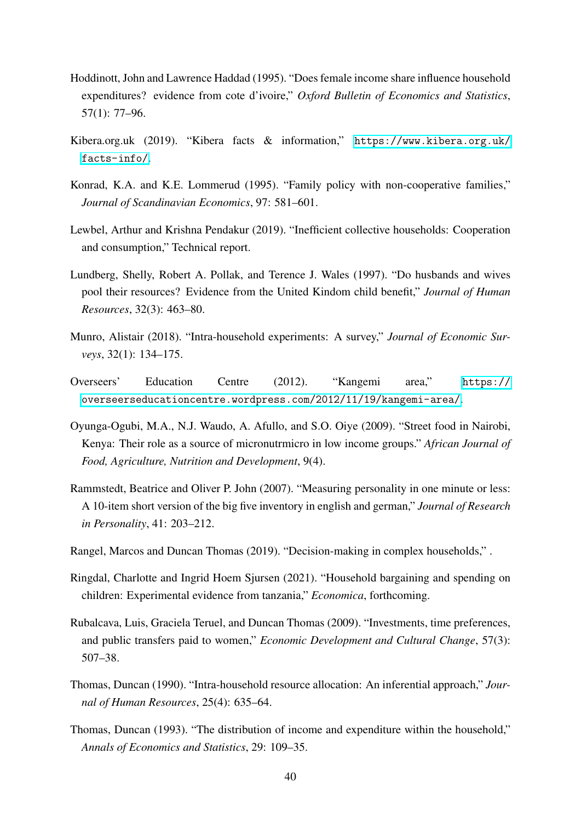- <span id="page-41-2"></span>Hoddinott, John and Lawrence Haddad (1995). "Does female income share influence household expenditures? evidence from cote d'ivoire," *Oxford Bulletin of Economics and Statistics*, 57(1): 77–96.
- <span id="page-41-12"></span>Kibera.org.uk (2019). "Kibera facts & information," [https://www.kibera.org.uk/](https://www.kibera.org.uk/facts-info/) [facts-info/](https://www.kibera.org.uk/facts-info/).
- <span id="page-41-0"></span>Konrad, K.A. and K.E. Lommerud (1995). "Family policy with non-cooperative families," *Journal of Scandinavian Economics*, 97: 581–601.
- <span id="page-41-1"></span>Lewbel, Arthur and Krishna Pendakur (2019). "Inefficient collective households: Cooperation and consumption," Technical report.
- <span id="page-41-3"></span>Lundberg, Shelly, Robert A. Pollak, and Terence J. Wales (1997). "Do husbands and wives pool their resources? Evidence from the United Kindom child benefit," *Journal of Human Resources*, 32(3): 463–80.
- <span id="page-41-7"></span>Munro, Alistair (2018). "Intra-household experiments: A survey," *Journal of Economic Surveys*, 32(1): 134–175.
- <span id="page-41-13"></span>Overseers' Education Centre (2012). "Kangemi area," [https://](https://overseerseducationcentre.wordpress.com/2012/11/19/kangemi-area/) [overseerseducationcentre.wordpress.com/2012/11/19/kangemi-area/](https://overseerseducationcentre.wordpress.com/2012/11/19/kangemi-area/).
- <span id="page-41-11"></span>Oyunga-Ogubi, M.A., N.J. Waudo, A. Afullo, and S.O. Oiye (2009). "Street food in Nairobi, Kenya: Their role as a source of micronutrmicro in low income groups." *African Journal of Food, Agriculture, Nutrition and Development*, 9(4).
- <span id="page-41-10"></span>Rammstedt, Beatrice and Oliver P. John (2007). "Measuring personality in one minute or less: A 10-item short version of the big five inventory in english and german," *Journal of Research in Personality*, 41: 203–212.
- <span id="page-41-9"></span>Rangel, Marcos and Duncan Thomas (2019). "Decision-making in complex households," .
- <span id="page-41-8"></span>Ringdal, Charlotte and Ingrid Hoem Sjursen (2021). "Household bargaining and spending on children: Experimental evidence from tanzania," *Economica*, forthcoming.
- <span id="page-41-6"></span>Rubalcava, Luis, Graciela Teruel, and Duncan Thomas (2009). "Investments, time preferences, and public transfers paid to women," *Economic Development and Cultural Change*, 57(3): 507–38.
- <span id="page-41-4"></span>Thomas, Duncan (1990). "Intra-household resource allocation: An inferential approach," *Journal of Human Resources*, 25(4): 635–64.
- <span id="page-41-5"></span>Thomas, Duncan (1993). "The distribution of income and expenditure within the household," *Annals of Economics and Statistics*, 29: 109–35.